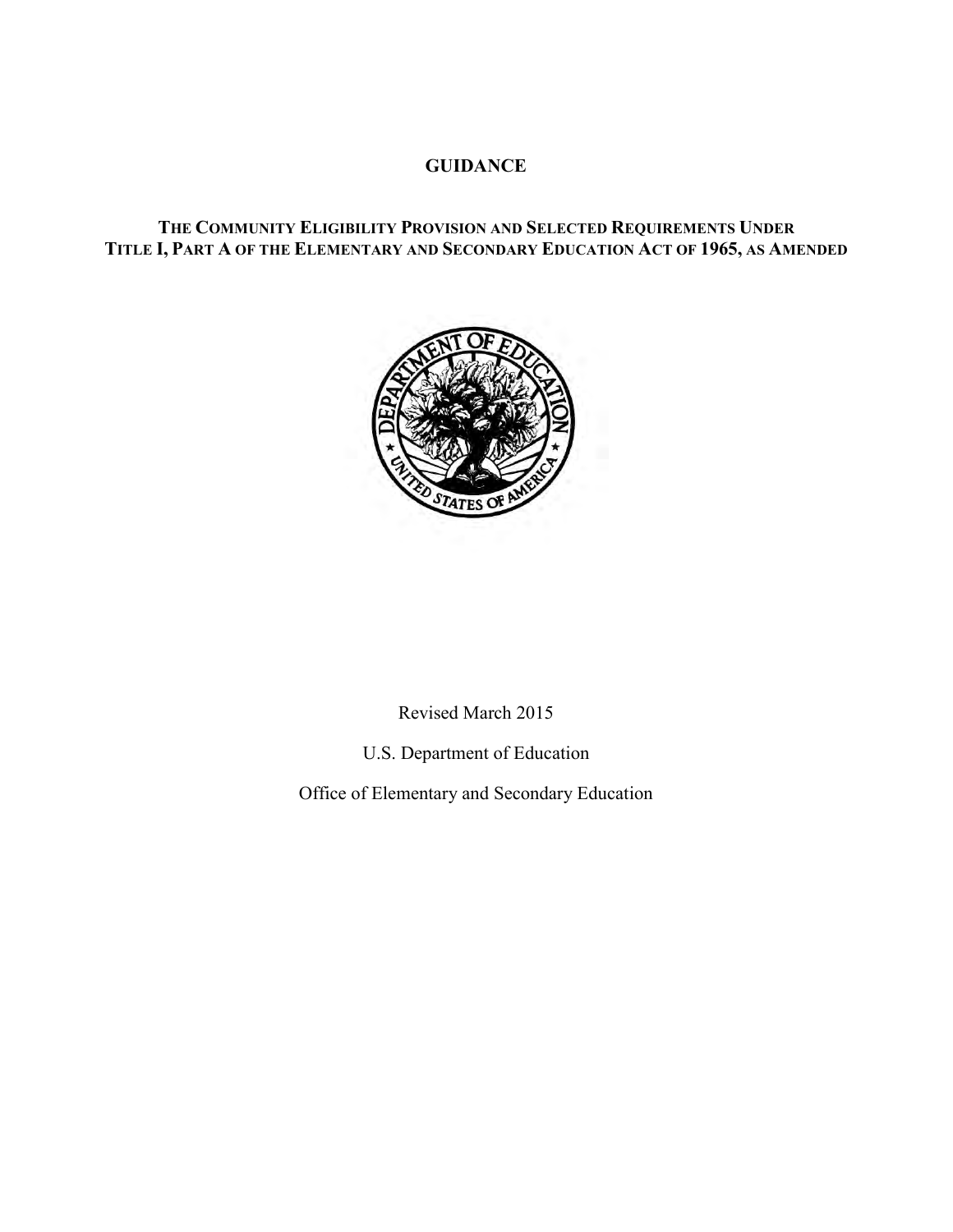### **GUIDANCE**

## **THE COMMUNITY ELIGIBILITY PROVISION AND SELECTED REQUIREMENTS UNDER TITLE I, PART A OF THE ELEMENTARY AND SECONDARY EDUCATION ACT OF 1965, AS AMENDED**



Revised March 2015

U.S. Department of Education

Office of Elementary and Secondary Education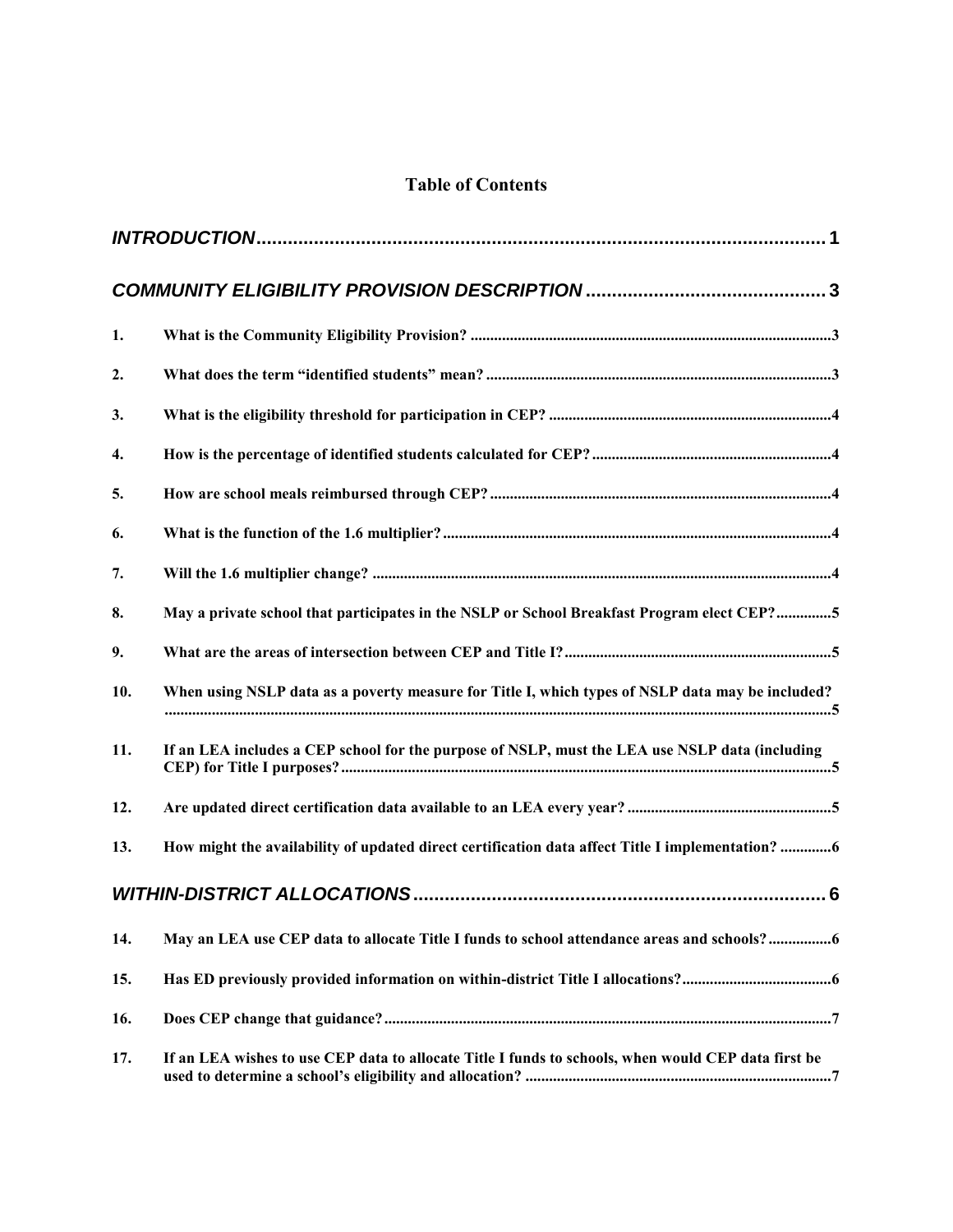# **Table of Contents**

| 1.  |                                                                                                     |
|-----|-----------------------------------------------------------------------------------------------------|
| 2.  |                                                                                                     |
| 3.  |                                                                                                     |
| 4.  |                                                                                                     |
| 5.  |                                                                                                     |
| 6.  |                                                                                                     |
| 7.  |                                                                                                     |
| 8.  | May a private school that participates in the NSLP or School Breakfast Program elect CEP?5          |
| 9.  |                                                                                                     |
| 10. | When using NSLP data as a poverty measure for Title I, which types of NSLP data may be included?    |
| 11. | If an LEA includes a CEP school for the purpose of NSLP, must the LEA use NSLP data (including      |
| 12. |                                                                                                     |
| 13. | How might the availability of updated direct certification data affect Title I implementation? 6    |
|     |                                                                                                     |
| 14. | May an LEA use CEP data to allocate Title I funds to school attendance areas and schools?6          |
| 15. |                                                                                                     |
| 16. |                                                                                                     |
| 17. | If an LEA wishes to use CEP data to allocate Title I funds to schools, when would CEP data first be |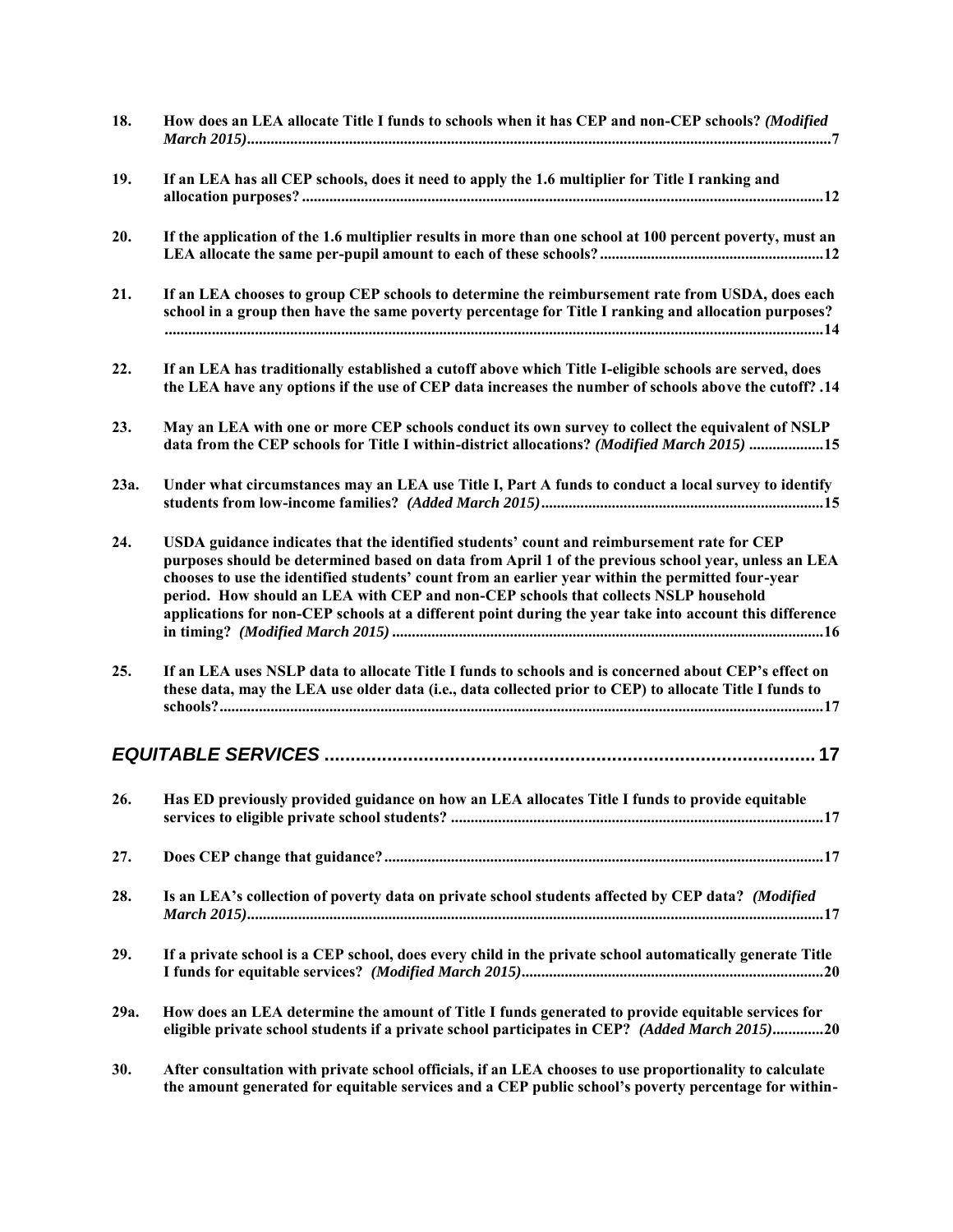| 18.  | How does an LEA allocate Title I funds to schools when it has CEP and non-CEP schools? (Modified                                                                                                                                                                                                                                                                                                                                                                                                         |
|------|----------------------------------------------------------------------------------------------------------------------------------------------------------------------------------------------------------------------------------------------------------------------------------------------------------------------------------------------------------------------------------------------------------------------------------------------------------------------------------------------------------|
| 19.  | If an LEA has all CEP schools, does it need to apply the 1.6 multiplier for Title I ranking and                                                                                                                                                                                                                                                                                                                                                                                                          |
| 20.  | If the application of the 1.6 multiplier results in more than one school at 100 percent poverty, must an                                                                                                                                                                                                                                                                                                                                                                                                 |
| 21.  | If an LEA chooses to group CEP schools to determine the reimbursement rate from USDA, does each<br>school in a group then have the same poverty percentage for Title I ranking and allocation purposes?                                                                                                                                                                                                                                                                                                  |
| 22.  | If an LEA has traditionally established a cutoff above which Title I-eligible schools are served, does<br>14. the LEA have any options if the use of CEP data increases the number of schools above the cutoff?                                                                                                                                                                                                                                                                                          |
| 23.  | May an LEA with one or more CEP schools conduct its own survey to collect the equivalent of NSLP<br>data from the CEP schools for Title I within-district allocations? (Modified March 2015) 15                                                                                                                                                                                                                                                                                                          |
| 23a. | Under what circumstances may an LEA use Title I, Part A funds to conduct a local survey to identify                                                                                                                                                                                                                                                                                                                                                                                                      |
| 24.  | USDA guidance indicates that the identified students' count and reimbursement rate for CEP<br>purposes should be determined based on data from April 1 of the previous school year, unless an LEA<br>chooses to use the identified students' count from an earlier year within the permitted four-year<br>period. How should an LEA with CEP and non-CEP schools that collects NSLP household<br>applications for non-CEP schools at a different point during the year take into account this difference |
| 25.  | If an LEA uses NSLP data to allocate Title I funds to schools and is concerned about CEP's effect on<br>these data, may the LEA use older data (i.e., data collected prior to CEP) to allocate Title I funds to                                                                                                                                                                                                                                                                                          |
|      |                                                                                                                                                                                                                                                                                                                                                                                                                                                                                                          |
| 26.  | Has ED previously provided guidance on how an LEA allocates Title I funds to provide equitable                                                                                                                                                                                                                                                                                                                                                                                                           |
| 27.  |                                                                                                                                                                                                                                                                                                                                                                                                                                                                                                          |
| 28.  | Is an LEA's collection of poverty data on private school students affected by CEP data? (Modified                                                                                                                                                                                                                                                                                                                                                                                                        |
| 29.  | If a private school is a CEP school, does every child in the private school automatically generate Title                                                                                                                                                                                                                                                                                                                                                                                                 |
| 29a. | How does an LEA determine the amount of Title I funds generated to provide equitable services for<br>eligible private school students if a private school participates in CEP? (Added March 2015)20                                                                                                                                                                                                                                                                                                      |
| 30.  | After consultation with private school officials, if an LEA chooses to use proportionality to calculate<br>the amount generated for equitable services and a CEP public school's poverty percentage for within-                                                                                                                                                                                                                                                                                          |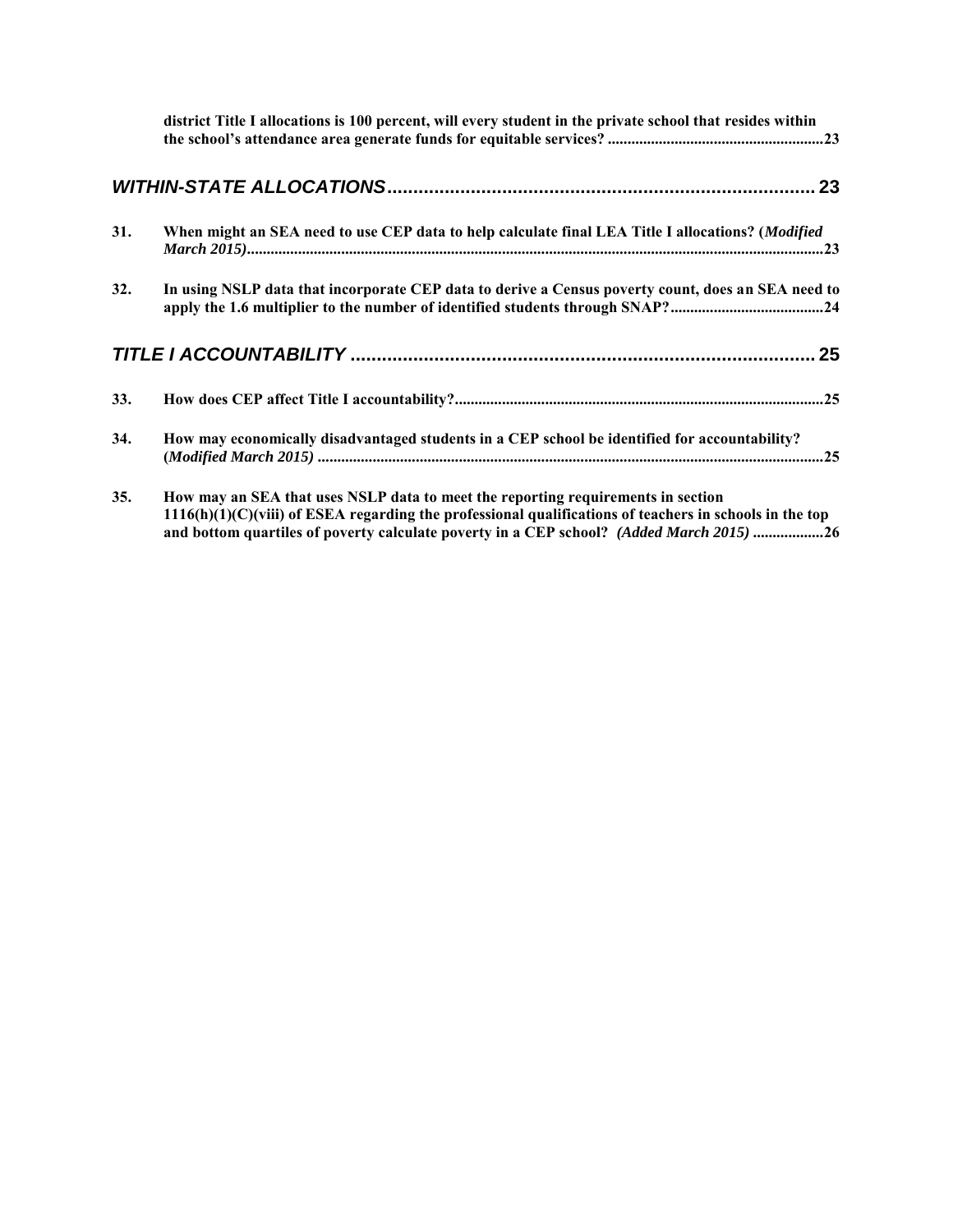|     | district Title I allocations is 100 percent, will every student in the private school that resides within                                                                           |  |
|-----|-------------------------------------------------------------------------------------------------------------------------------------------------------------------------------------|--|
|     |                                                                                                                                                                                     |  |
| 31. | When might an SEA need to use CEP data to help calculate final LEA Title I allocations? (Modified                                                                                   |  |
| 32. | In using NSLP data that incorporate CEP data to derive a Census poverty count, does an SEA need to<br>apply the 1.6 multiplier to the number of identified students through SNAP?24 |  |
|     |                                                                                                                                                                                     |  |
| 33. |                                                                                                                                                                                     |  |
| 34. | How may economically disadvantaged students in a CEP school be identified for accountability?                                                                                       |  |
| 35. | How may an SEA that uses NSLP data to meet the reporting requirements in section                                                                                                    |  |

**[1116\(h\)\(1\)\(C\)\(viii\) of ESEA regarding the professional qualifications of teachers in schools in the top](#page-29-0)  [and bottom quartiles of poverty calculate poverty in a CEP school?](#page-29-0)** *(Added March 2015)* **..................26**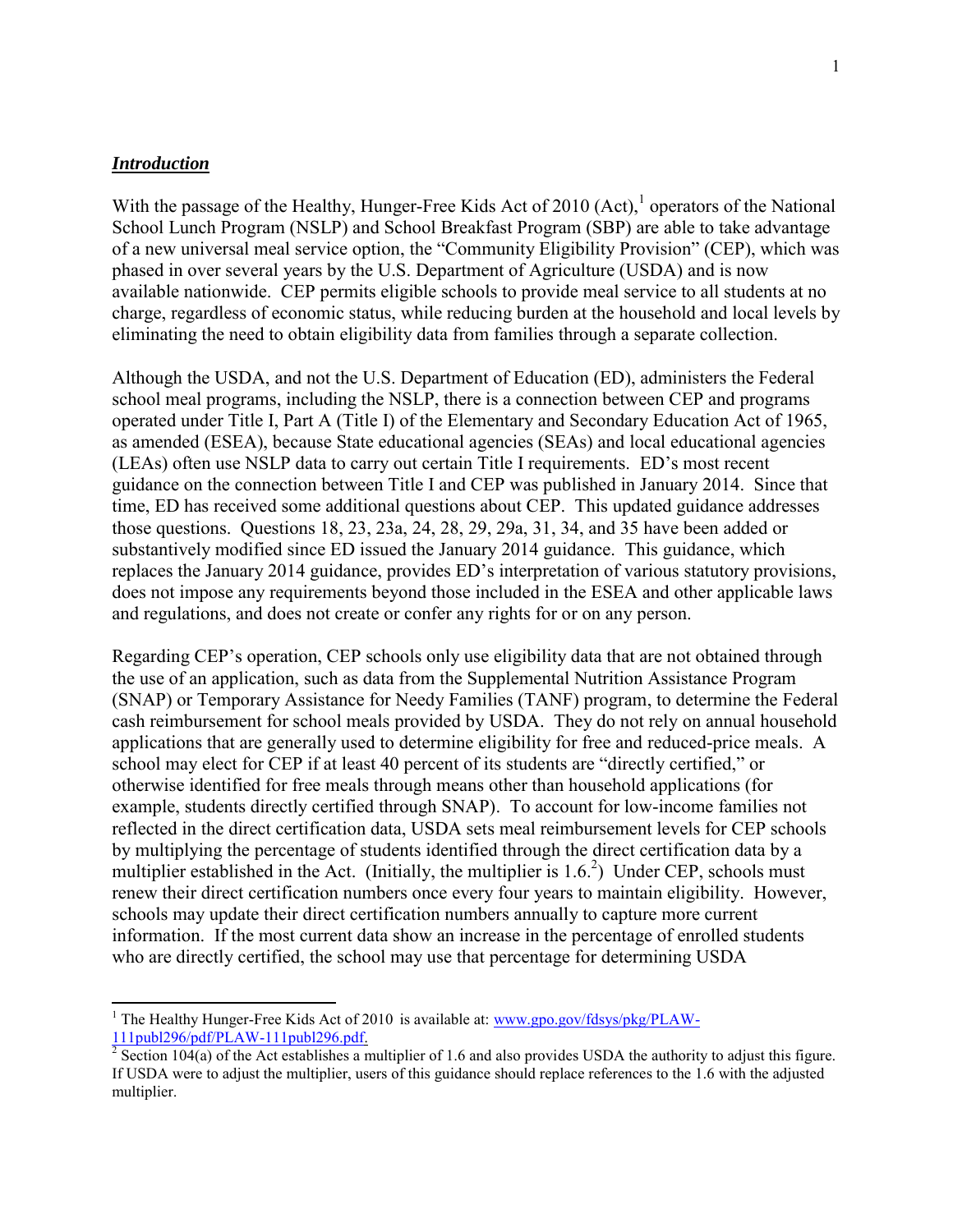#### <span id="page-4-0"></span>*Introduction*

 $\overline{a}$ 

With the passage of the Healthy, Hunger-Free Kids Act of 2010  $(Act),$ <sup>1</sup> operators of the National School Lunch Program (NSLP) and School Breakfast Program (SBP) are able to take advantage of a new universal meal service option, the "Community Eligibility Provision" (CEP), which was phased in over several years by the U.S. Department of Agriculture (USDA) and is now available nationwide. CEP permits eligible schools to provide meal service to all students at no charge, regardless of economic status, while reducing burden at the household and local levels by eliminating the need to obtain eligibility data from families through a separate collection.

Although the USDA, and not the U.S. Department of Education (ED), administers the Federal school meal programs, including the NSLP, there is a connection between CEP and programs operated under Title I, Part A (Title I) of the Elementary and Secondary Education Act of 1965, as amended (ESEA), because State educational agencies (SEAs) and local educational agencies (LEAs) often use NSLP data to carry out certain Title I requirements. ED's most recent guidance on the connection between Title I and CEP was published in January 2014. Since that time, ED has received some additional questions about CEP. This updated guidance addresses those questions. Questions 18, 23, 23a, 24, 28, 29, 29a, 31, 34, and 35 have been added or substantively modified since ED issued the January 2014 guidance. This guidance, which replaces the January 2014 guidance, provides ED's interpretation of various statutory provisions, does not impose any requirements beyond those included in the ESEA and other applicable laws and regulations, and does not create or confer any rights for or on any person.

Regarding CEP's operation, CEP schools only use eligibility data that are not obtained through the use of an application, such as data from the Supplemental Nutrition Assistance Program (SNAP) or Temporary Assistance for Needy Families (TANF) program, to determine the Federal cash reimbursement for school meals provided by USDA. They do not rely on annual household applications that are generally used to determine eligibility for free and reduced-price meals. A school may elect for CEP if at least 40 percent of its students are "directly certified," or otherwise identified for free meals through means other than household applications (for example, students directly certified through SNAP). To account for low-income families not reflected in the direct certification data, USDA sets meal reimbursement levels for CEP schools by multiplying the percentage of students identified through the direct certification data by a multiplier established in the Act. (Initially, the multiplier is  $1.6<sup>2</sup>$ ) Under CEP, schools must renew their direct certification numbers once every four years to maintain eligibility. However, schools may update their direct certification numbers annually to capture more current information. If the most current data show an increase in the percentage of enrolled students who are directly certified, the school may use that percentage for determining USDA

<sup>&</sup>lt;sup>1</sup> The Healthy Hunger-Free Kids Act of 2010 is available at: [www.gpo.gov/fdsys/pkg/PLAW-](http://www.gpo.gov/fdsys/pkg/PLAW-111publ296/pdf/PLAW-111publ296.pdf)[111publ296/pdf/PLAW-111publ296.pdf.](http://www.gpo.gov/fdsys/pkg/PLAW-111publ296/pdf/PLAW-111publ296.pdf)

<sup>&</sup>lt;sup>2</sup> Section 104(a) of the Act establishes a multiplier of 1.6 and also provides USDA the authority to adjust this figure. If USDA were to adjust the multiplier, users of this guidance should replace references to the 1.6 with the adjusted multiplier.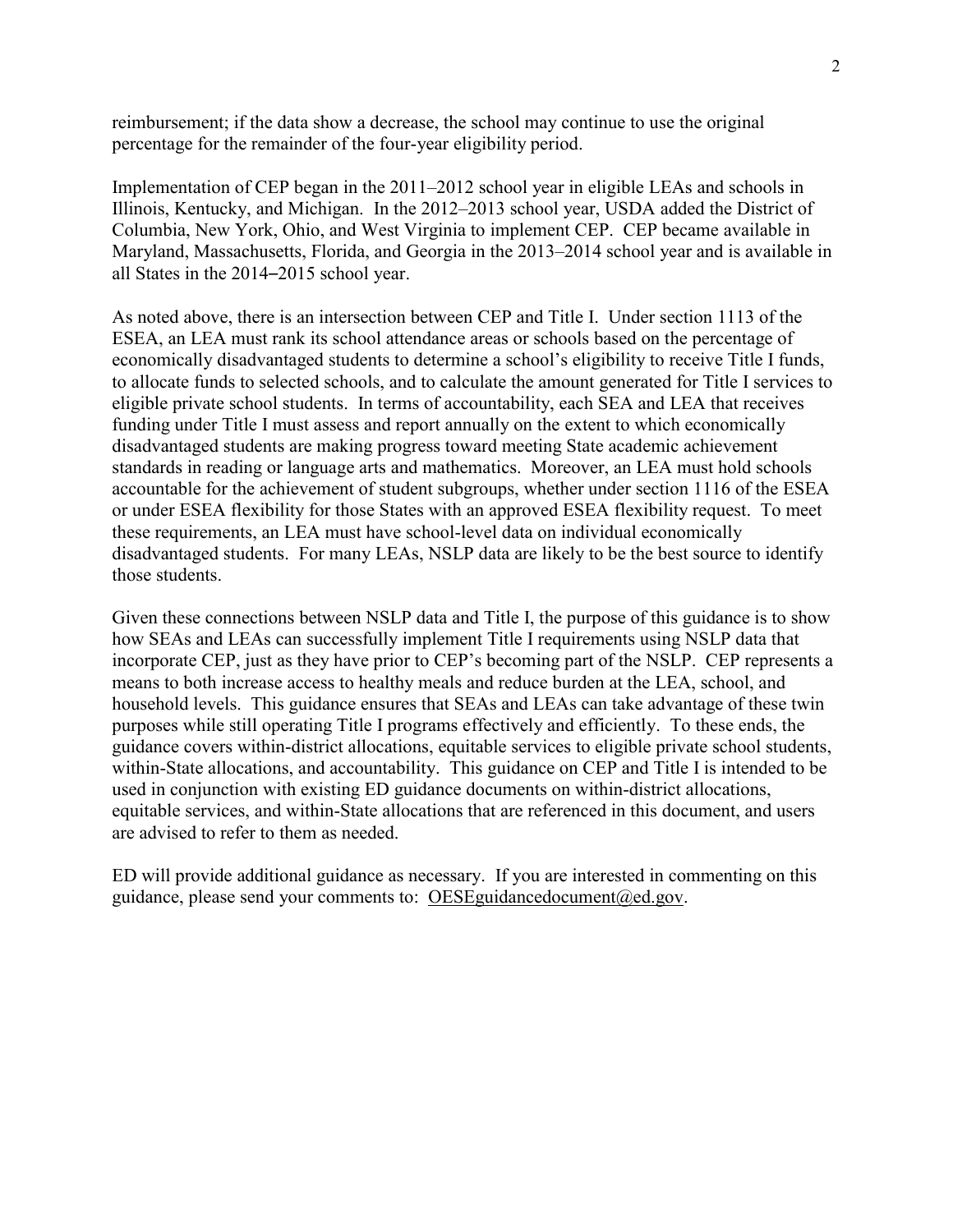reimbursement; if the data show a decrease, the school may continue to use the original percentage for the remainder of the four-year eligibility period.

Implementation of CEP began in the 2011–2012 school year in eligible LEAs and schools in Illinois, Kentucky, and Michigan. In the 2012–2013 school year, USDA added the District of Columbia, New York, Ohio, and West Virginia to implement CEP. CEP became available in Maryland, Massachusetts, Florida, and Georgia in the 2013–2014 school year and is available in all States in the 2014–2015 school year.

As noted above, there is an intersection between CEP and Title I. Under section 1113 of the ESEA, an LEA must rank its school attendance areas or schools based on the percentage of economically disadvantaged students to determine a school's eligibility to receive Title I funds, to allocate funds to selected schools, and to calculate the amount generated for Title I services to eligible private school students. In terms of accountability, each SEA and LEA that receives funding under Title I must assess and report annually on the extent to which economically disadvantaged students are making progress toward meeting State academic achievement standards in reading or language arts and mathematics. Moreover, an LEA must hold schools accountable for the achievement of student subgroups, whether under section 1116 of the ESEA or under ESEA flexibility for those States with an approved ESEA flexibility request. To meet these requirements, an LEA must have school-level data on individual economically disadvantaged students. For many LEAs, NSLP data are likely to be the best source to identify those students.

Given these connections between NSLP data and Title I, the purpose of this guidance is to show how SEAs and LEAs can successfully implement Title I requirements using NSLP data that incorporate CEP, just as they have prior to CEP's becoming part of the NSLP. CEP represents a means to both increase access to healthy meals and reduce burden at the LEA, school, and household levels. This guidance ensures that SEAs and LEAs can take advantage of these twin purposes while still operating Title I programs effectively and efficiently. To these ends, the guidance covers within-district allocations, equitable services to eligible private school students, within-State allocations, and accountability. This guidance on CEP and Title I is intended to be used in conjunction with existing ED guidance documents on within-district allocations, equitable services, and within-State allocations that are referenced in this document, and users are advised to refer to them as needed.

ED will provide additional guidance as necessary. If you are interested in commenting on this guidance, please send your comments to: OESEguidancedocument@ed.gov.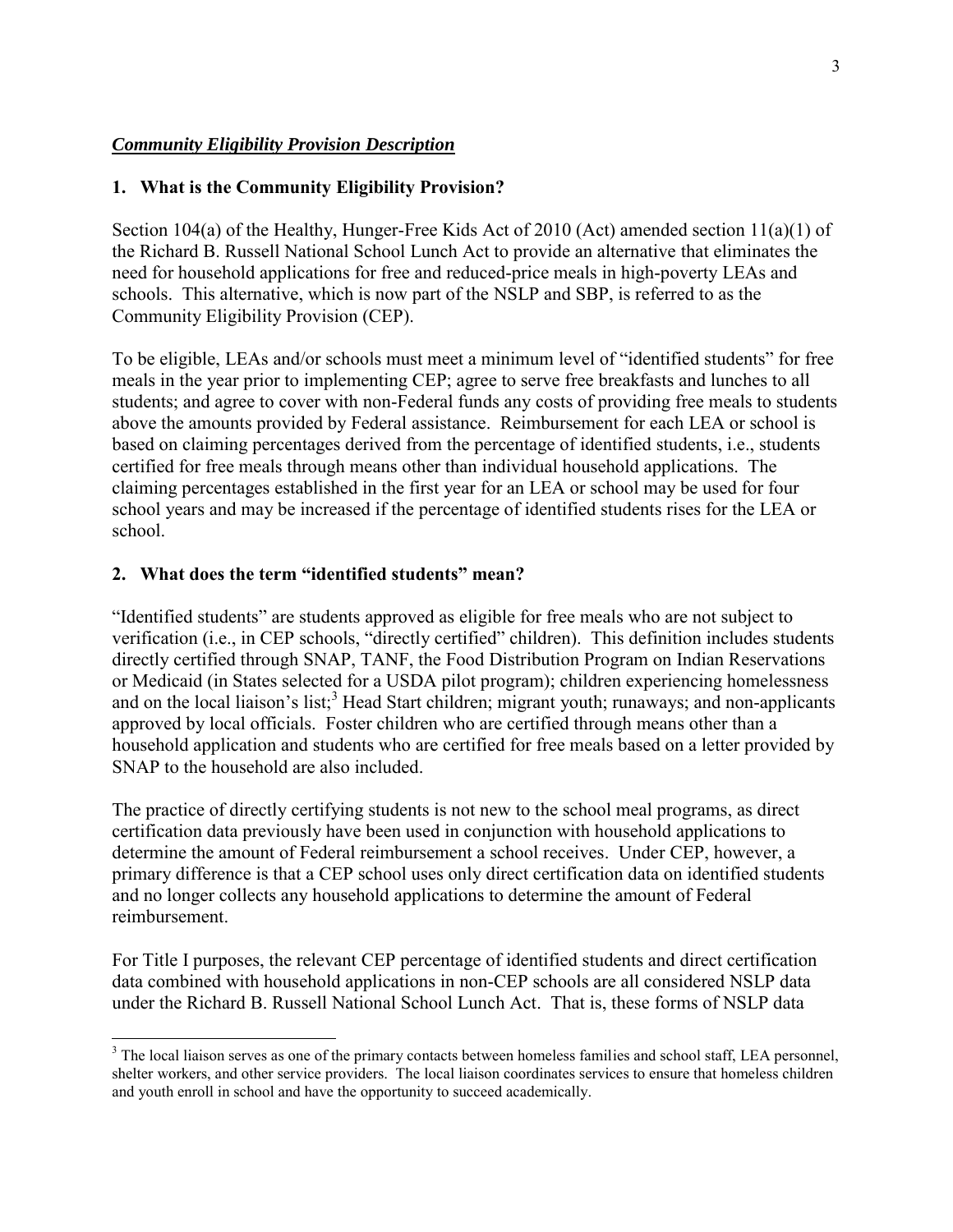#### <span id="page-6-0"></span>*Community Eligibility Provision Description*

### <span id="page-6-1"></span>**1. What is the Community Eligibility Provision?**

Section 104(a) of the Healthy, Hunger-Free Kids Act of 2010 (Act) amended section 11(a)(1) of the Richard B. Russell National School Lunch Act to provide an alternative that eliminates the need for household applications for free and reduced-price meals in high-poverty LEAs and schools. This alternative, which is now part of the NSLP and SBP, is referred to as the Community Eligibility Provision (CEP).

To be eligible, LEAs and/or schools must meet a minimum level of "identified students" for free meals in the year prior to implementing CEP; agree to serve free breakfasts and lunches to all students; and agree to cover with non-Federal funds any costs of providing free meals to students above the amounts provided by Federal assistance. Reimbursement for each LEA or school is based on claiming percentages derived from the percentage of identified students, i.e., students certified for free meals through means other than individual household applications. The claiming percentages established in the first year for an LEA or school may be used for four school years and may be increased if the percentage of identified students rises for the LEA or school.

#### <span id="page-6-2"></span>**2. What does the term "identified students" mean?**

"Identified students" are students approved as eligible for free meals who are not subject to verification (i.e., in CEP schools, "directly certified" children). This definition includes students directly certified through SNAP, TANF, the Food Distribution Program on Indian Reservations or Medicaid (in States selected for a USDA pilot program); children experiencing homelessness and on the local liaison's list;<sup>3</sup> Head Start children; migrant youth; runaways; and non-applicants approved by local officials. Foster children who are certified through means other than a household application and students who are certified for free meals based on a letter provided by SNAP to the household are also included.

The practice of directly certifying students is not new to the school meal programs, as direct certification data previously have been used in conjunction with household applications to determine the amount of Federal reimbursement a school receives. Under CEP, however, a primary difference is that a CEP school uses only direct certification data on identified students and no longer collects any household applications to determine the amount of Federal reimbursement.

For Title I purposes, the relevant CEP percentage of identified students and direct certification data combined with household applications in non-CEP schools are all considered NSLP data under the Richard B. Russell National School Lunch Act. That is, these forms of NSLP data

 $\overline{a}$  $3$  The local liaison serves as one of the primary contacts between homeless families and school staff, LEA personnel, shelter workers, and other service providers. The local liaison coordinates services to ensure that homeless children and youth enroll in school and have the opportunity to succeed academically.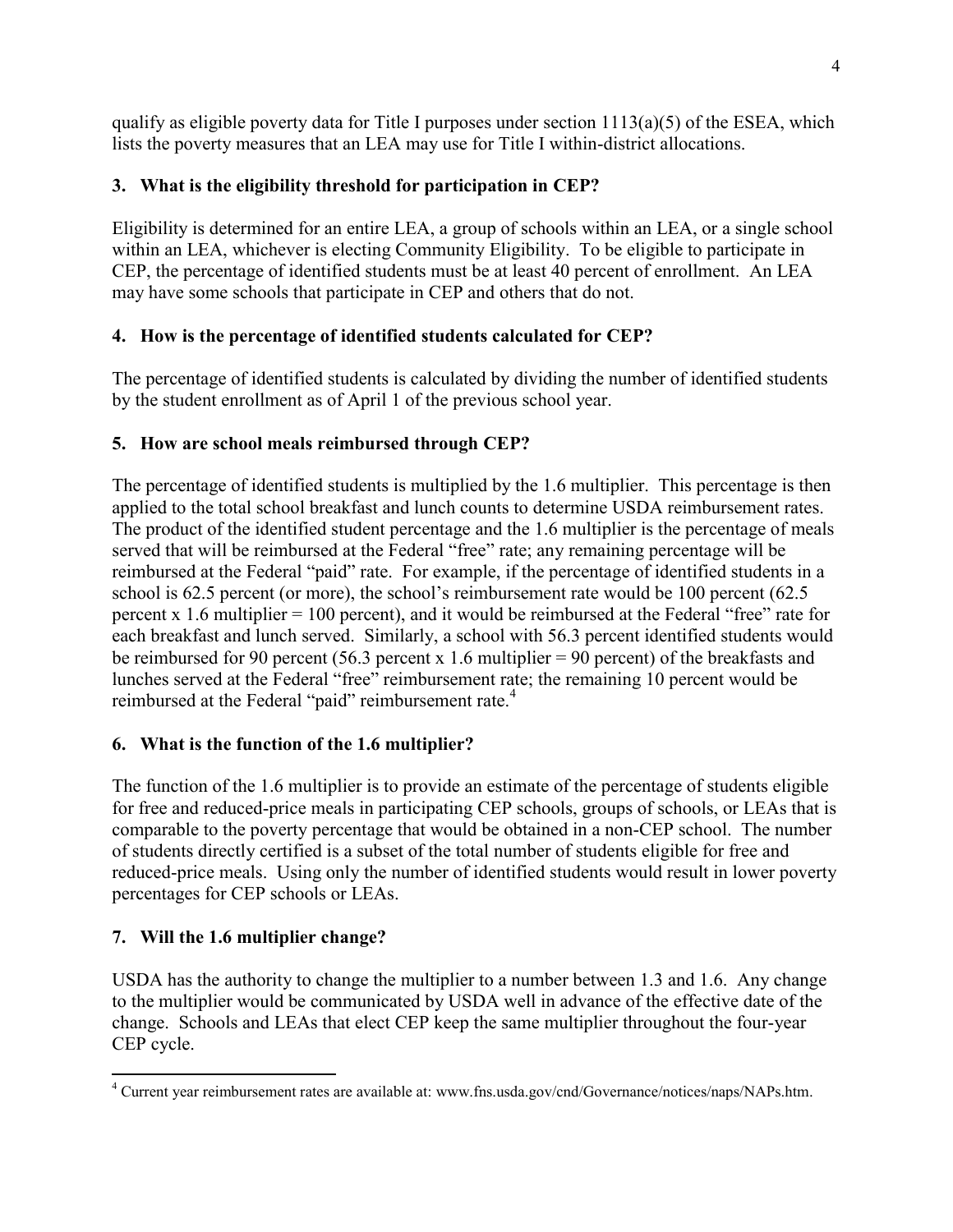qualify as eligible poverty data for Title I purposes under section  $1113(a)(5)$  of the ESEA, which lists the poverty measures that an LEA may use for Title I within-district allocations.

# <span id="page-7-0"></span>**3. What is the eligibility threshold for participation in CEP?**

Eligibility is determined for an entire LEA, a group of schools within an LEA, or a single school within an LEA, whichever is electing Community Eligibility. To be eligible to participate in CEP, the percentage of identified students must be at least 40 percent of enrollment. An LEA may have some schools that participate in CEP and others that do not.

# <span id="page-7-1"></span>**4. How is the percentage of identified students calculated for CEP?**

The percentage of identified students is calculated by dividing the number of identified students by the student enrollment as of April 1 of the previous school year.

# <span id="page-7-2"></span>**5. How are school meals reimbursed through CEP?**

The percentage of identified students is multiplied by the 1.6 multiplier. This percentage is then applied to the total school breakfast and lunch counts to determine USDA reimbursement rates. The product of the identified student percentage and the 1.6 multiplier is the percentage of meals served that will be reimbursed at the Federal "free" rate; any remaining percentage will be reimbursed at the Federal "paid" rate. For example, if the percentage of identified students in a school is 62.5 percent (or more), the school's reimbursement rate would be 100 percent (62.5) percent x 1.6 multiplier = 100 percent), and it would be reimbursed at the Federal "free" rate for each breakfast and lunch served. Similarly, a school with 56.3 percent identified students would be reimbursed for 90 percent (56.3 percent x 1.6 multiplier = 90 percent) of the breakfasts and lunches served at the Federal "free" reimbursement rate; the remaining 10 percent would be reimbursed at the Federal "paid" reimbursement rate.<sup>4</sup>

# <span id="page-7-3"></span>**6. What is the function of the 1.6 multiplier?**

The function of the 1.6 multiplier is to provide an estimate of the percentage of students eligible for free and reduced-price meals in participating CEP schools, groups of schools, or LEAs that is comparable to the poverty percentage that would be obtained in a non-CEP school. The number of students directly certified is a subset of the total number of students eligible for free and reduced-price meals. Using only the number of identified students would result in lower poverty percentages for CEP schools or LEAs.

# <span id="page-7-4"></span>**7. Will the 1.6 multiplier change?**

USDA has the authority to change the multiplier to a number between 1.3 and 1.6. Any change to the multiplier would be communicated by USDA well in advance of the effective date of the change. Schools and LEAs that elect CEP keep the same multiplier throughout the four-year CEP cycle.

 4 Current year reimbursement rates are available at: www.fns.usda.gov/cnd/Governance/notices/naps/NAPs.htm.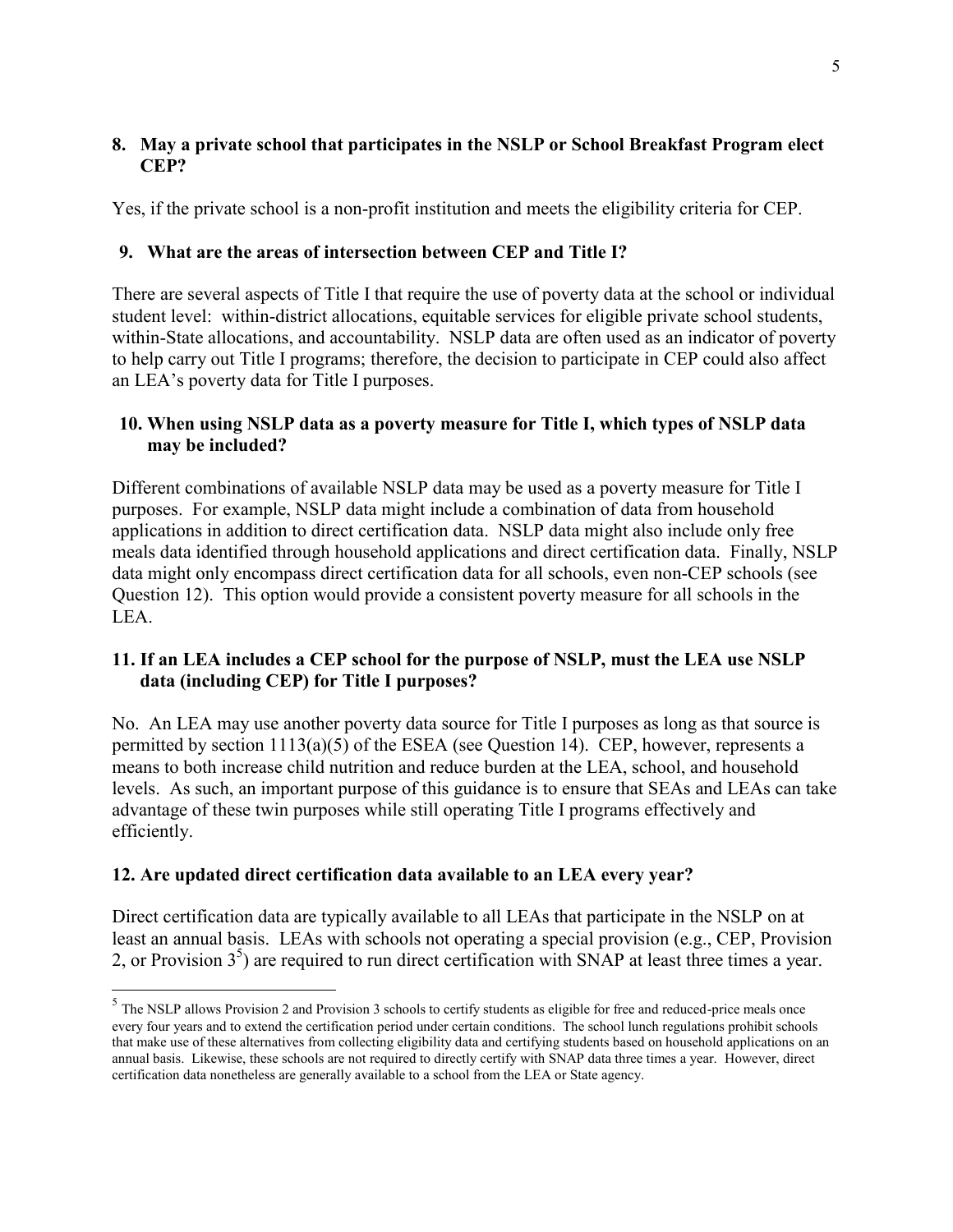### <span id="page-8-0"></span>**8. May a private school that participates in the NSLP or School Breakfast Program elect CEP?**

Yes, if the private school is a non-profit institution and meets the eligibility criteria for CEP.

# <span id="page-8-1"></span>**9. What are the areas of intersection between CEP and Title I?**

There are several aspects of Title I that require the use of poverty data at the school or individual student level: within-district allocations, equitable services for eligible private school students, within-State allocations, and accountability. NSLP data are often used as an indicator of poverty to help carry out Title I programs; therefore, the decision to participate in CEP could also affect an LEA's poverty data for Title I purposes.

# <span id="page-8-2"></span>**10. When using NSLP data as a poverty measure for Title I, which types of NSLP data may be included?**

Different combinations of available NSLP data may be used as a poverty measure for Title I purposes. For example, NSLP data might include a combination of data from household applications in addition to direct certification data. NSLP data might also include only free meals data identified through household applications and direct certification data. Finally, NSLP data might only encompass direct certification data for all schools, even non-CEP schools (see Question 12). This option would provide a consistent poverty measure for all schools in the LEA.

# <span id="page-8-3"></span>**11. If an LEA includes a CEP school for the purpose of NSLP, must the LEA use NSLP data (including CEP) for Title I purposes?**

No. An LEA may use another poverty data source for Title I purposes as long as that source is permitted by section 1113(a)(5) of the ESEA (see Question 14). CEP, however, represents a means to both increase child nutrition and reduce burden at the LEA, school, and household levels. As such, an important purpose of this guidance is to ensure that SEAs and LEAs can take advantage of these twin purposes while still operating Title I programs effectively and efficiently.

# <span id="page-8-4"></span>**12. Are updated direct certification data available to an LEA every year?**

 $\overline{a}$ 

Direct certification data are typically available to all LEAs that participate in the NSLP on at least an annual basis. LEAs with schools not operating a special provision (e.g., CEP, Provision 2, or Provision  $3<sup>5</sup>$ ) are required to run direct certification with SNAP at least three times a year.

 $<sup>5</sup>$  The NSLP allows Provision 2 and Provision 3 schools to certify students as eligible for free and reduced-price meals once</sup> every four years and to extend the certification period under certain conditions. The school lunch regulations prohibit schools that make use of these alternatives from collecting eligibility data and certifying students based on household applications on an annual basis. Likewise, these schools are not required to directly certify with SNAP data three times a year. However, direct certification data nonetheless are generally available to a school from the LEA or State agency.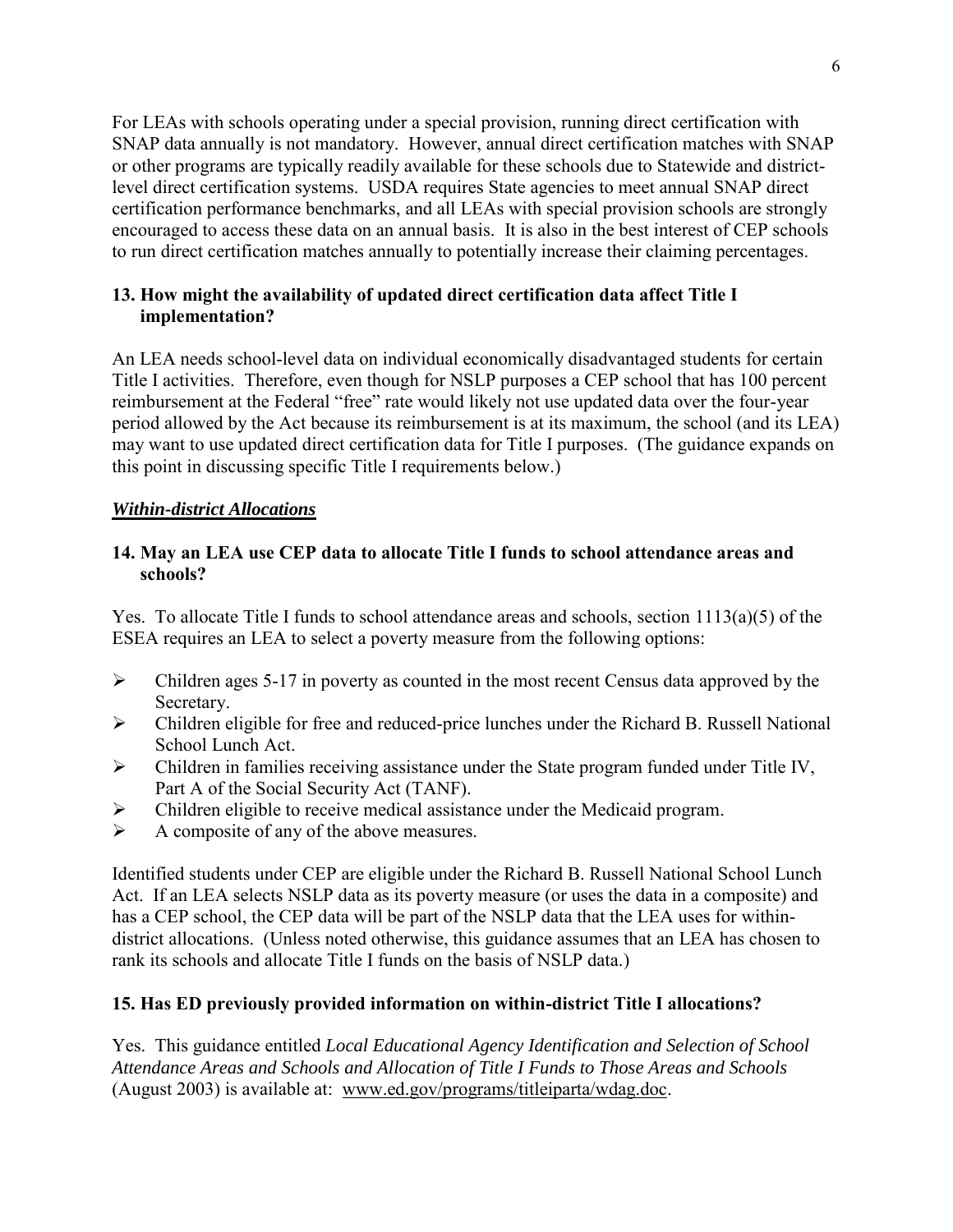For LEAs with schools operating under a special provision, running direct certification with SNAP data annually is not mandatory. However, annual direct certification matches with SNAP or other programs are typically readily available for these schools due to Statewide and districtlevel direct certification systems. USDA requires State agencies to meet annual SNAP direct certification performance benchmarks, and all LEAs with special provision schools are strongly encouraged to access these data on an annual basis. It is also in the best interest of CEP schools to run direct certification matches annually to potentially increase their claiming percentages.

### <span id="page-9-0"></span>**13. How might the availability of updated direct certification data affect Title I implementation?**

An LEA needs school-level data on individual economically disadvantaged students for certain Title I activities. Therefore, even though for NSLP purposes a CEP school that has 100 percent reimbursement at the Federal "free" rate would likely not use updated data over the four-year period allowed by the Act because its reimbursement is at its maximum, the school (and its LEA) may want to use updated direct certification data for Title I purposes. (The guidance expands on this point in discussing specific Title I requirements below.)

### <span id="page-9-1"></span>*Within-district Allocations*

### <span id="page-9-2"></span>**14. May an LEA use CEP data to allocate Title I funds to school attendance areas and schools?**

Yes. To allocate Title I funds to school attendance areas and schools, section 1113(a)(5) of the ESEA requires an LEA to select a poverty measure from the following options:

- $\triangleright$  Children ages 5-17 in poverty as counted in the most recent Census data approved by the Secretary.
- $\triangleright$  Children eligible for free and reduced-price lunches under the Richard B. Russell National School Lunch Act.
- $\triangleright$  Children in families receiving assistance under the State program funded under Title IV, Part A of the Social Security Act (TANF).
- Children eligible to receive medical assistance under the Medicaid program.
- $\triangleright$  A composite of any of the above measures.

Identified students under CEP are eligible under the Richard B. Russell National School Lunch Act. If an LEA selects NSLP data as its poverty measure (or uses the data in a composite) and has a CEP school, the CEP data will be part of the NSLP data that the LEA uses for withindistrict allocations. (Unless noted otherwise, this guidance assumes that an LEA has chosen to rank its schools and allocate Title I funds on the basis of NSLP data.)

# <span id="page-9-3"></span>**15. Has ED previously provided information on within-district Title I allocations?**

Yes. This guidance entitled *Local Educational Agency Identification and Selection of School Attendance Areas and Schools and Allocation of Title I Funds to Those Areas and Schools*  (August 2003) is available at: www.ed.gov/programs/titleiparta/wdag.doc.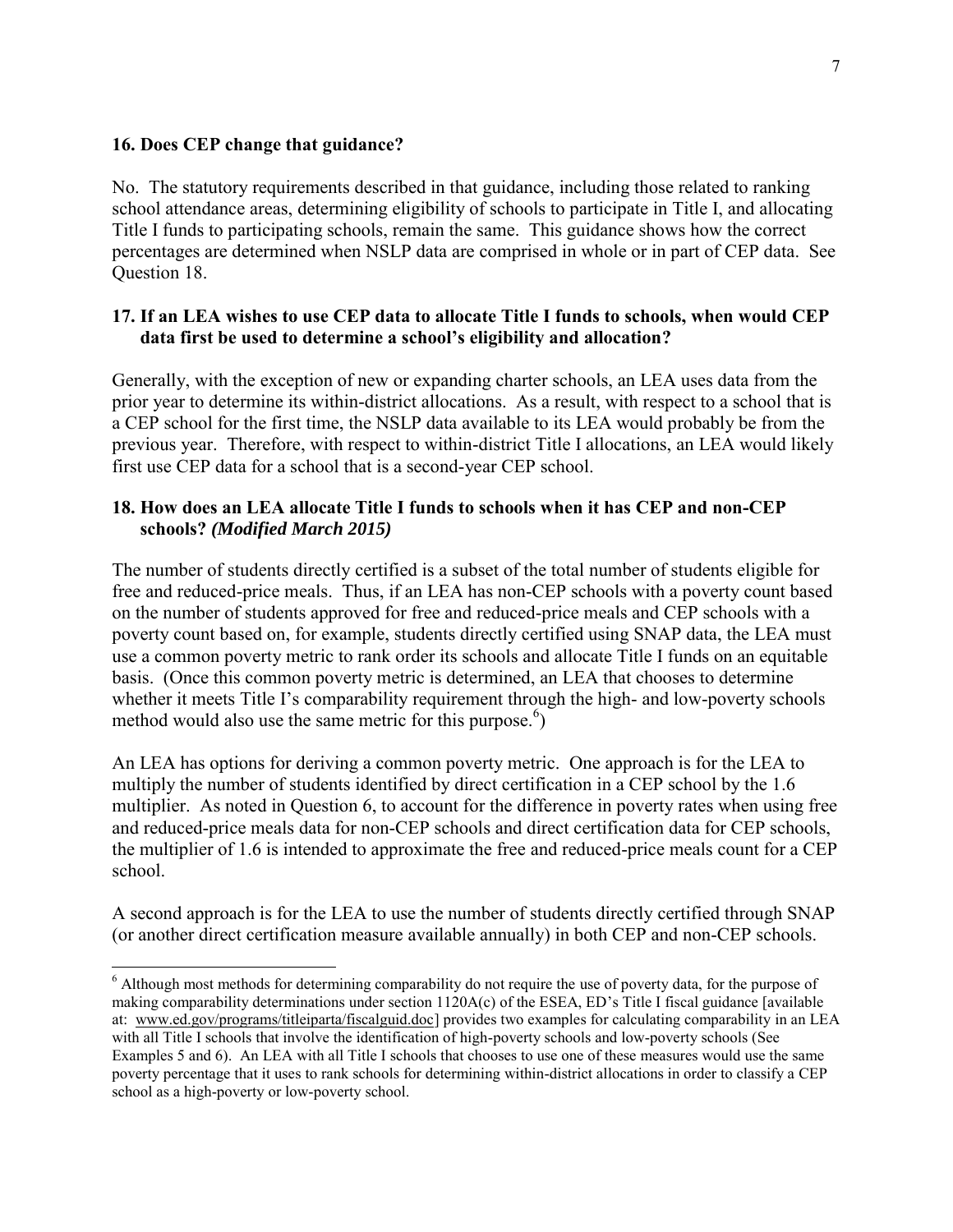#### <span id="page-10-0"></span>**16. Does CEP change that guidance?**

 $\overline{a}$ 

No. The statutory requirements described in that guidance, including those related to ranking school attendance areas, determining eligibility of schools to participate in Title I, and allocating Title I funds to participating schools, remain the same. This guidance shows how the correct percentages are determined when NSLP data are comprised in whole or in part of CEP data. See Question 18.

#### <span id="page-10-1"></span>**17. If an LEA wishes to use CEP data to allocate Title I funds to schools, when would CEP data first be used to determine a school's eligibility and allocation?**

Generally, with the exception of new or expanding charter schools, an LEA uses data from the prior year to determine its within-district allocations. As a result, with respect to a school that is a CEP school for the first time, the NSLP data available to its LEA would probably be from the previous year. Therefore, with respect to within-district Title I allocations, an LEA would likely first use CEP data for a school that is a second-year CEP school.

### <span id="page-10-2"></span>**18. How does an LEA allocate Title I funds to schools when it has CEP and non-CEP schools?** *(Modified March 2015)*

The number of students directly certified is a subset of the total number of students eligible for free and reduced-price meals. Thus, if an LEA has non-CEP schools with a poverty count based on the number of students approved for free and reduced-price meals and CEP schools with a poverty count based on, for example, students directly certified using SNAP data, the LEA must use a common poverty metric to rank order its schools and allocate Title I funds on an equitable basis. (Once this common poverty metric is determined, an LEA that chooses to determine whether it meets Title I's comparability requirement through the high- and low-poverty schools method would also use the same metric for this purpose.<sup>6</sup>)

An LEA has options for deriving a common poverty metric. One approach is for the LEA to multiply the number of students identified by direct certification in a CEP school by the 1.6 multiplier. As noted in Question 6, to account for the difference in poverty rates when using free and reduced-price meals data for non-CEP schools and direct certification data for CEP schools, the multiplier of 1.6 is intended to approximate the free and reduced-price meals count for a CEP school.

A second approach is for the LEA to use the number of students directly certified through SNAP (or another direct certification measure available annually) in both CEP and non-CEP schools.

<sup>&</sup>lt;sup>6</sup> Although most methods for determining comparability do not require the use of poverty data, for the purpose of making comparability determinations under section 1120A(c) of the ESEA, ED's Title I fiscal guidance [available at: www.ed.gov/programs/titleiparta/fiscalguid.doc] provides two examples for calculating comparability in an LEA with all Title I schools that involve the identification of high-poverty schools and low-poverty schools (See Examples 5 and 6). An LEA with all Title I schools that chooses to use one of these measures would use the same poverty percentage that it uses to rank schools for determining within-district allocations in order to classify a CEP school as a high-poverty or low-poverty school.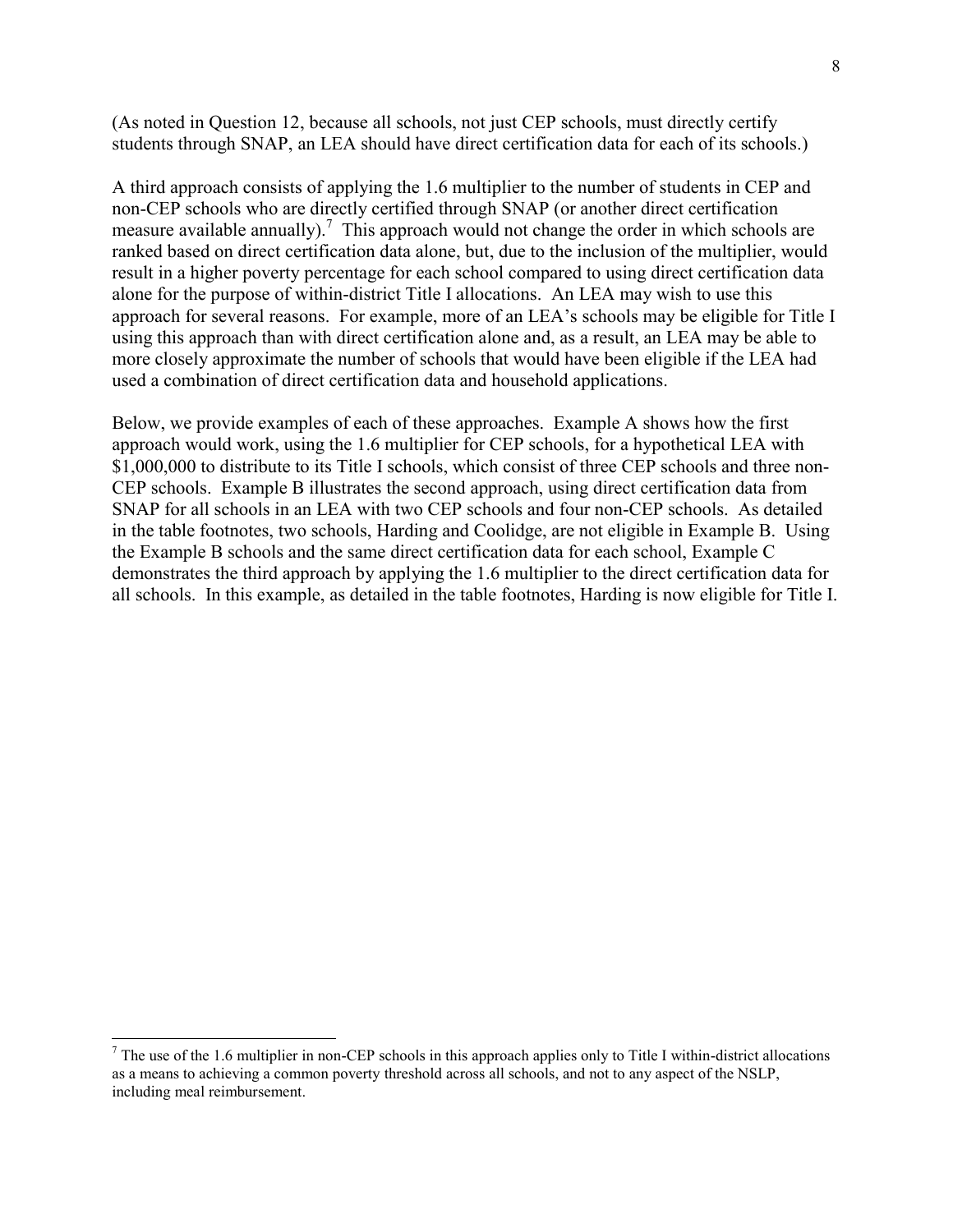(As noted in Question 12, because all schools, not just CEP schools, must directly certify students through SNAP, an LEA should have direct certification data for each of its schools.)

A third approach consists of applying the 1.6 multiplier to the number of students in CEP and non-CEP schools who are directly certified through SNAP (or another direct certification measure available annually).<sup>7</sup> This approach would not change the order in which schools are ranked based on direct certification data alone, but, due to the inclusion of the multiplier, would result in a higher poverty percentage for each school compared to using direct certification data alone for the purpose of within-district Title I allocations. An LEA may wish to use this approach for several reasons. For example, more of an LEA's schools may be eligible for Title I using this approach than with direct certification alone and, as a result, an LEA may be able to more closely approximate the number of schools that would have been eligible if the LEA had used a combination of direct certification data and household applications.

Below, we provide examples of each of these approaches. Example A shows how the first approach would work, using the 1.6 multiplier for CEP schools, for a hypothetical LEA with \$1,000,000 to distribute to its Title I schools, which consist of three CEP schools and three non-CEP schools. Example B illustrates the second approach, using direct certification data from SNAP for all schools in an LEA with two CEP schools and four non-CEP schools. As detailed in the table footnotes, two schools, Harding and Coolidge, are not eligible in Example B. Using the Example B schools and the same direct certification data for each school, Example C demonstrates the third approach by applying the 1.6 multiplier to the direct certification data for all schools. In this example, as detailed in the table footnotes, Harding is now eligible for Title I.

<sup>&</sup>lt;sup>7</sup> The use of the 1.6 multiplier in non-CEP schools in this approach applies only to Title I within-district allocations as a means to achieving a common poverty threshold across all schools, and not to any aspect of the NSLP, including meal reimbursement.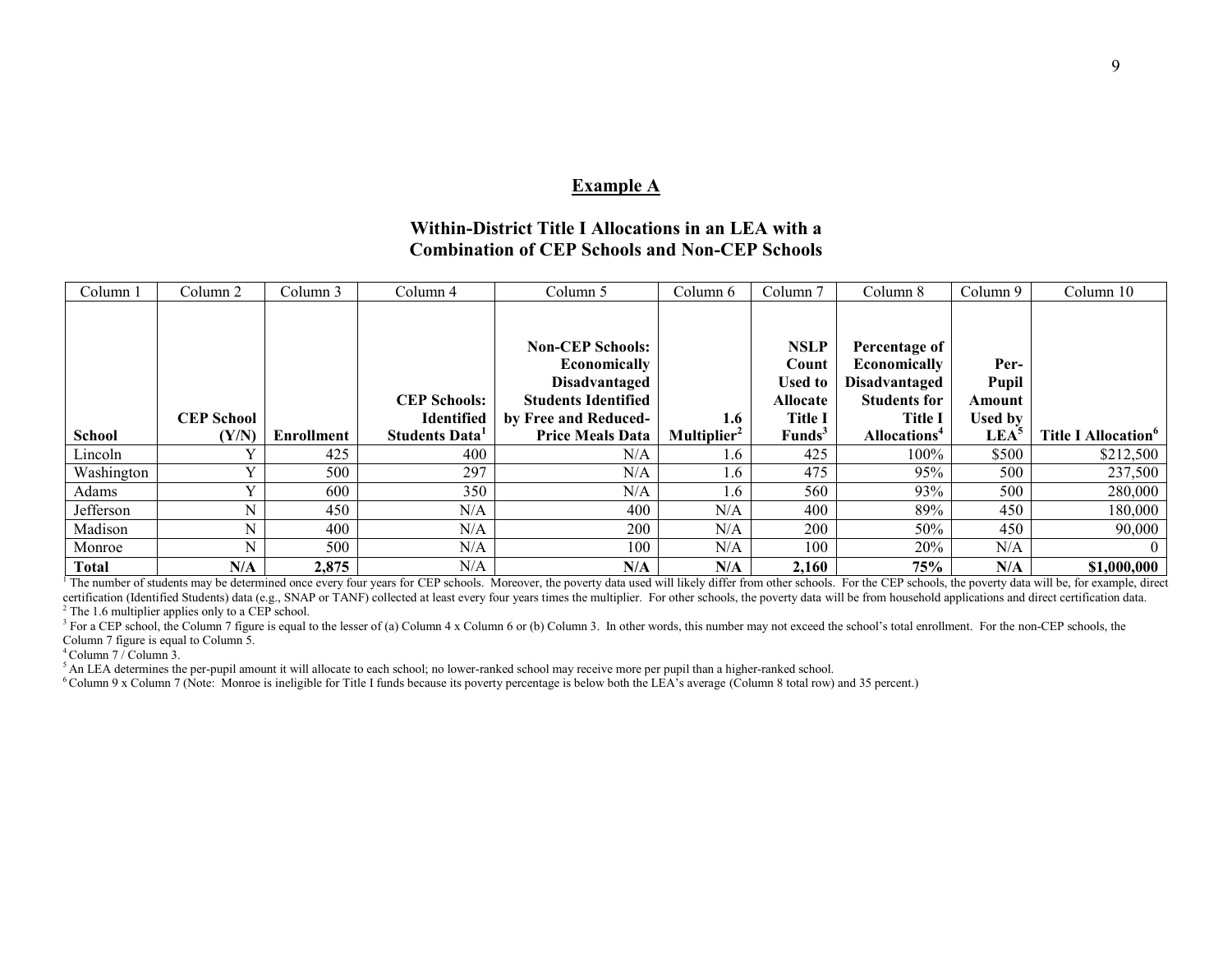#### **Example A**

#### **Within-District Title I Allocations in an LEA with a Combination of CEP Schools and Non-CEP Schools**

| Column 1      | Column 2          | Column 3          | Column 4                                 | Column 5                                                                                                              | Column 6                | Column <sub>7</sub>                                                         | Column 8                                                                                       | Column 9                                  | Column 10                              |
|---------------|-------------------|-------------------|------------------------------------------|-----------------------------------------------------------------------------------------------------------------------|-------------------------|-----------------------------------------------------------------------------|------------------------------------------------------------------------------------------------|-------------------------------------------|----------------------------------------|
|               | <b>CEP School</b> |                   | <b>CEP Schools:</b><br><b>Identified</b> | <b>Non-CEP Schools:</b><br>Economically<br><b>Disadvantaged</b><br><b>Students Identified</b><br>by Free and Reduced- | 1.6                     | <b>NSLP</b><br>Count<br><b>Used to</b><br><b>Allocate</b><br><b>Title I</b> | Percentage of<br><b>Economically</b><br>Disadvantaged<br><b>Students for</b><br><b>Title I</b> | Per-<br><b>Pupil</b><br>Amount<br>Used by |                                        |
| <b>School</b> | (Y/N)             | <b>Enrollment</b> | Students Data                            | <b>Price Meals Data</b>                                                                                               | Multiplier <sup>2</sup> | <b>Funds</b> <sup>3</sup>                                                   | Allocations <sup>4</sup>                                                                       | LEA <sup>5</sup>                          | <b>Title I Allocation</b> <sup>6</sup> |
| Lincoln       |                   | 425               | 400                                      | N/A                                                                                                                   | 1.6                     | 425                                                                         | $100\%$                                                                                        | \$500                                     | \$212,500                              |
| Washington    |                   | 500               | 297                                      | N/A                                                                                                                   | 1.6                     | 475                                                                         | 95%                                                                                            | 500                                       | 237,500                                |
| Adams         |                   | 600               | 350                                      | N/A                                                                                                                   | 1.6                     | 560                                                                         | 93%                                                                                            | 500                                       | 280,000                                |
| Jefferson     | N                 | 450               | N/A                                      | 400                                                                                                                   | N/A                     | 400                                                                         | 89%                                                                                            | 450                                       | 180,000                                |
| Madison       | N                 | 400               | N/A                                      | 200                                                                                                                   | N/A                     | 200                                                                         | 50%                                                                                            | 450                                       | 90,000                                 |
| Monroe        | N                 | 500               | N/A                                      | 100                                                                                                                   | N/A                     | 100                                                                         | 20%                                                                                            | N/A                                       |                                        |
| <b>Total</b>  | N/A               | 2,875             | N/A                                      | N/A                                                                                                                   | N/A                     | 2,160                                                                       | 75%                                                                                            | N/A                                       | \$1,000,000                            |

The number of students may be determined once every four years for CEP schools. Moreover, the poverty data used will likely differ from other schools. For the CEP schools, the poverty data will be, for example, direct certification (Identified Students) data (e.g., SNAP or TANF) collected at least every four years times the multiplier. For other schools, the poverty data will be from household applications and direct certification data. <sup>2</sup> The 1.6 multiplier applies only to a CEP school.

<sup>3</sup> For a CEP school, the Column 7 figure is equal to the lesser of (a) Column 4 x Column 6 or (b) Column 3. In other words, this number may not exceed the school's total enrollment. For the non-CEP schools, the Column 7 figure is equal to Column 5.

 $4$  Column  $7/$  Column 3.

<sup>5</sup>An LEA determines the per-pupil amount it will allocate to each school; no lower-ranked school may receive more per pupil than a higher-ranked school.

<sup>6</sup>Column 9 x Column 7 (Note: Monroe is ineligible for Title I funds because its poverty percentage is below both the LEA's average (Column 8 total row) and 35 percent.)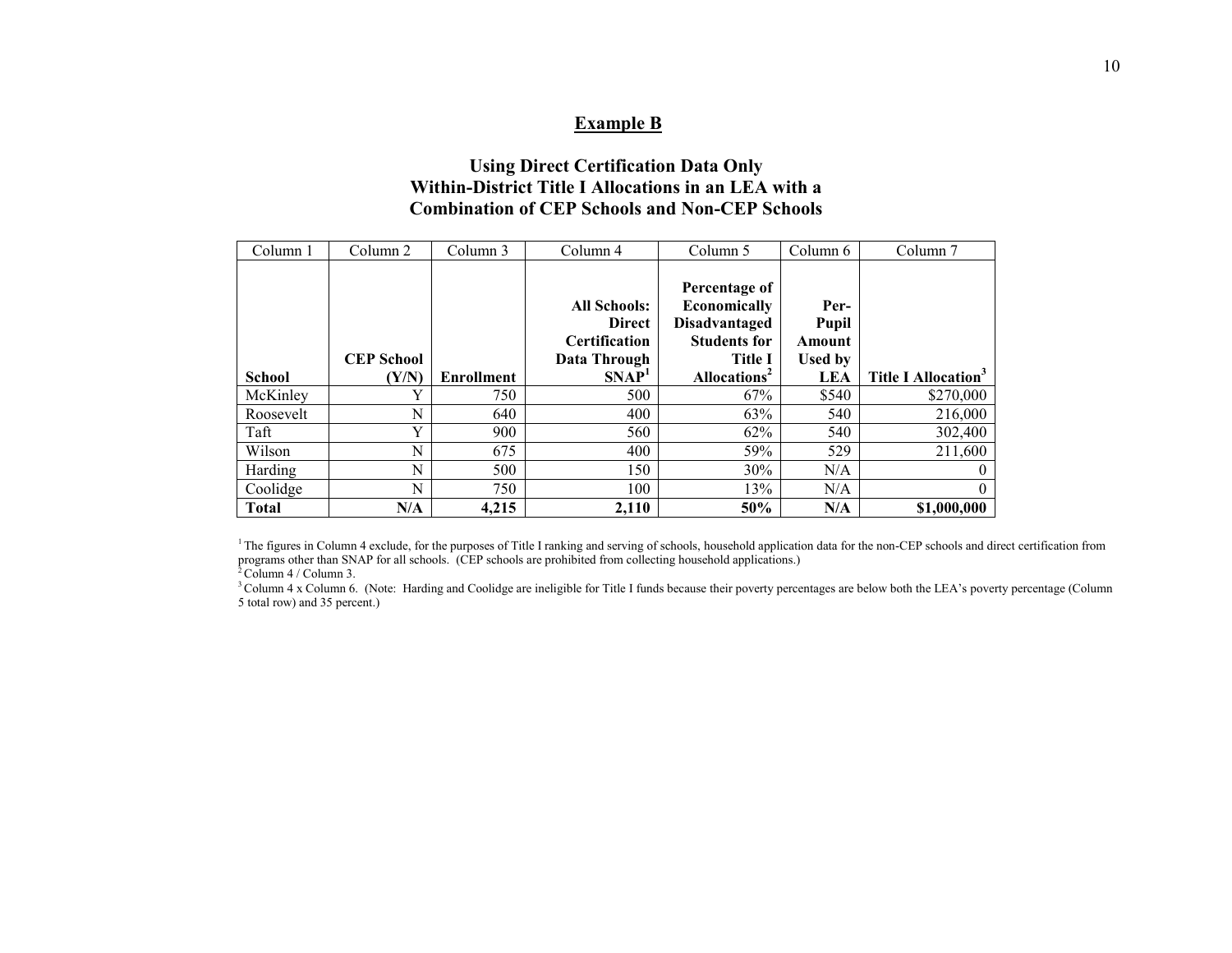#### **Example B**

#### **Using Direct Certification Data Only Within-District Title I Allocations in an LEA with a Combination of CEP Schools and Non-CEP Schools**

| Column 1      | Column 2                   | Column 3          | Column 4                                                                                   | Column 5                                                                                                                   | Column 6                                                | Column <sub>7</sub>             |
|---------------|----------------------------|-------------------|--------------------------------------------------------------------------------------------|----------------------------------------------------------------------------------------------------------------------------|---------------------------------------------------------|---------------------------------|
| <b>School</b> | <b>CEP School</b><br>(Y/N) | <b>Enrollment</b> | <b>All Schools:</b><br><b>Direct</b><br>Certification<br>Data Through<br>SNAP <sup>1</sup> | Percentage of<br>Economically<br><b>Disadvantaged</b><br><b>Students for</b><br><b>Title I</b><br>Allocations <sup>2</sup> | Per-<br>Pupil<br>Amount<br><b>Used by</b><br><b>LEA</b> | Title I Allocation <sup>3</sup> |
| McKinley      |                            | 750               | 500                                                                                        | 67%                                                                                                                        | \$540                                                   | \$270,000                       |
| Roosevelt     | N                          | 640               | 400                                                                                        | 63%                                                                                                                        | 540                                                     | 216,000                         |
| Taft          | Y                          | 900               | 560                                                                                        | 62%                                                                                                                        | 540                                                     | 302,400                         |
| Wilson        | N                          | 675               | 400                                                                                        | 59%                                                                                                                        | 529                                                     | 211,600                         |
| Harding       | N                          | 500               | 150                                                                                        | 30%                                                                                                                        | N/A                                                     | $\theta$                        |
| Coolidge      | N                          | 750               | 100                                                                                        | 13%                                                                                                                        | N/A                                                     | $\theta$                        |
| <b>Total</b>  | N/A                        | 4,215             | 2,110                                                                                      | 50%                                                                                                                        | N/A                                                     | \$1,000,000                     |

<sup>1</sup>The figures in Column 4 exclude, for the purposes of Title I ranking and serving of schools, household application data for the non-CEP schools and direct certification from programs other than SNAP for all schools. (CEP schools are prohibited from collecting household applications.)

 $2^2$ Column 4 / Column 3.

<sup>3</sup> Column 4 x Column 6. (Note: Harding and Coolidge are ineligible for Title I funds because their poverty percentages are below both the LEA's poverty percentage (Column 5 total row) and 35 percent.)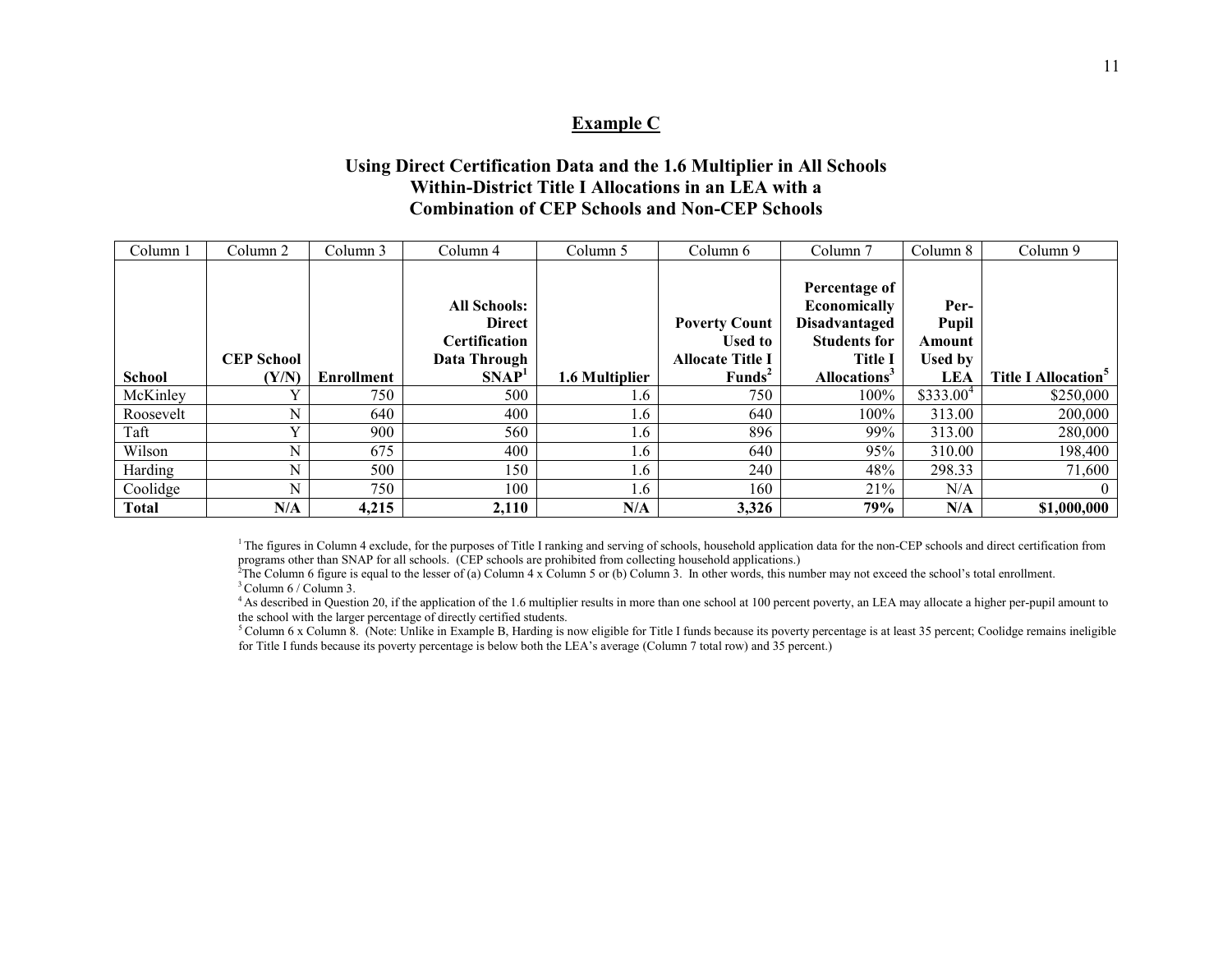#### **Example C**

#### **Using Direct Certification Data and the 1.6 Multiplier in All Schools Within-District Title I Allocations in an LEA with a Combination of CEP Schools and Non-CEP Schools**

| Column 1      | Column 2          | Column 3          | Column 4             | Column 5        | Column 6                | Column <sub>7</sub>      | Column 8              | Column 9                               |
|---------------|-------------------|-------------------|----------------------|-----------------|-------------------------|--------------------------|-----------------------|----------------------------------------|
|               |                   |                   |                      |                 |                         |                          |                       |                                        |
|               |                   |                   |                      |                 |                         | Percentage of            |                       |                                        |
|               |                   |                   | <b>All Schools:</b>  |                 |                         | Economically             | Per-                  |                                        |
|               |                   |                   | <b>Direct</b>        |                 | <b>Poverty Count</b>    | <b>Disadvantaged</b>     | Pupil                 |                                        |
|               |                   |                   | <b>Certification</b> |                 | <b>Used to</b>          | <b>Students for</b>      | Amount                |                                        |
|               | <b>CEP School</b> |                   | Data Through         |                 | <b>Allocate Title I</b> | <b>Title I</b>           | <b>Used by</b>        |                                        |
| <b>School</b> | (Y/N)             | <b>Enrollment</b> | SNAP <sup>1</sup>    | 1.6 Multiplier  | Funds <sup>2</sup>      | Allocations <sup>3</sup> | LEA                   | <b>Title I Allocation</b> <sup>5</sup> |
| McKinley      |                   | 750               | 500                  | 1.6             | 750                     | 100%                     | \$333.00 <sup>4</sup> | \$250,000                              |
| Roosevelt     | N                 | 640               | 400                  | .6 <sup>2</sup> | 640                     | 100%                     | 313.00                | 200,000                                |
| Taft          |                   | 900               | 560                  | 1.6             | 896                     | 99%                      | 313.00                | 280,000                                |
| Wilson        | N                 | 675               | 400                  | .6 <sup>°</sup> | 640                     | 95%                      | 310.00                | 198,400                                |
| Harding       | N                 | 500               | 150                  | 1.6             | 240                     | 48%                      | 298.33                | 71,600                                 |
| Coolidge      | N                 | 750               | 100                  | .6 <sup>2</sup> | 160                     | 21%                      | N/A                   | $\Omega$                               |
| <b>Total</b>  | N/A               | 4,215             | 2,110                | N/A             | 3,326                   | 79%                      | N/A                   | \$1,000,000                            |

<sup>1</sup>The figures in Column 4 exclude, for the purposes of Title I ranking and serving of schools, household application data for the non-CEP schools and direct certification from programs other than SNAP for all schools. (CEP schools are prohibited from collecting household applications.)

<sup>2</sup>The Column 6 figure is equal to the lesser of (a) Column 4 x Column 5 or (b) Column 3. In other words, this number may not exceed the school's total enrollment.  $3$  Column 6 / Column 3.

<sup>4</sup>As described in Question 20, if the application of the 1.6 multiplier results in more than one school at 100 percent poverty, an LEA may allocate a higher per-pupil amount to the school with the larger percentage of directly certified students.

<sup>5</sup>Column 6 x Column 8. (Note: Unlike in Example B, Harding is now eligible for Title I funds because its poverty percentage is at least 35 percent; Coolidge remains ineligible for Title I funds because its poverty percentage is below both the LEA's average (Column 7 total row) and 35 percent.)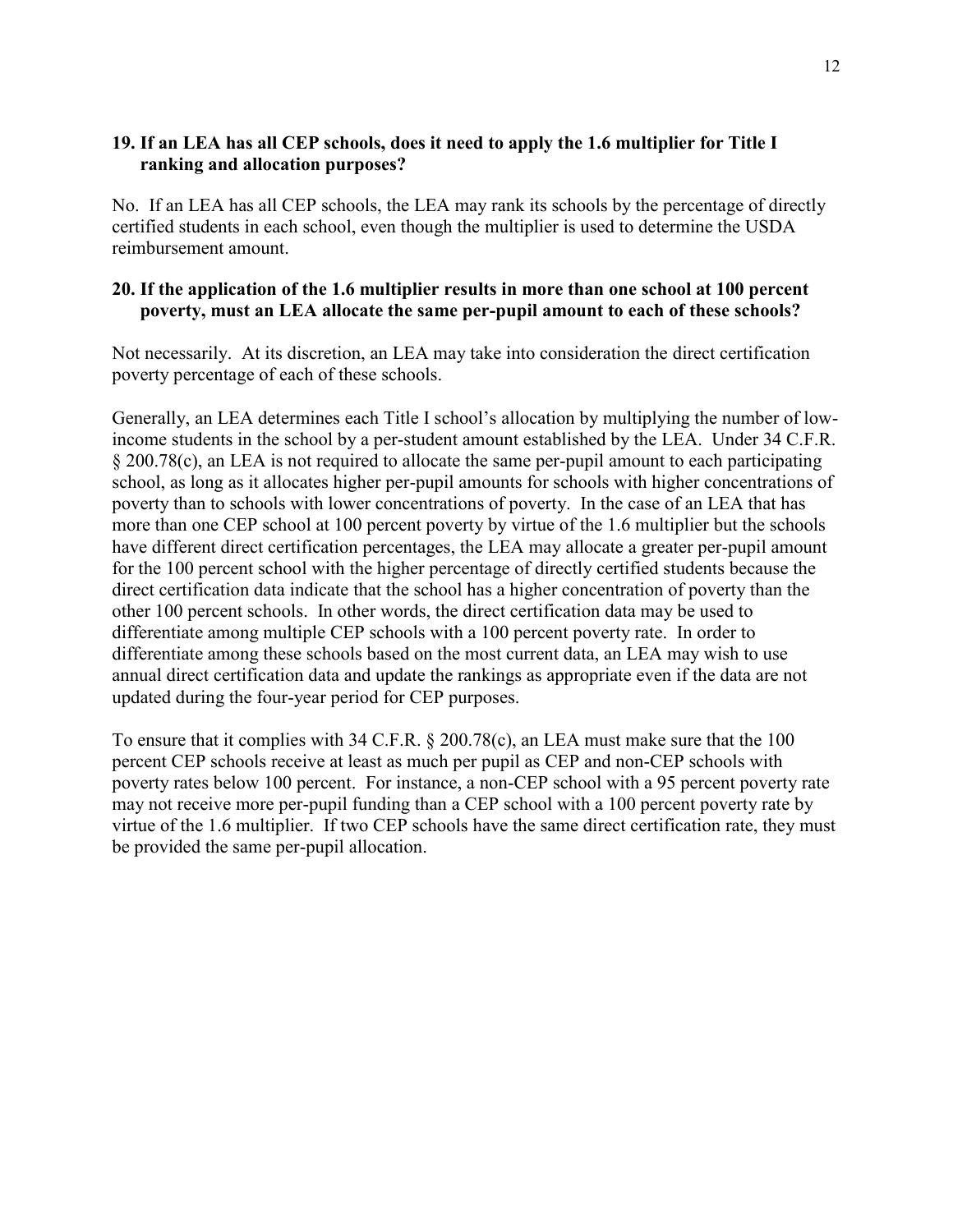#### <span id="page-15-0"></span>**19. If an LEA has all CEP schools, does it need to apply the 1.6 multiplier for Title I ranking and allocation purposes?**

No. If an LEA has all CEP schools, the LEA may rank its schools by the percentage of directly certified students in each school, even though the multiplier is used to determine the USDA reimbursement amount.

### <span id="page-15-1"></span>**20. If the application of the 1.6 multiplier results in more than one school at 100 percent poverty, must an LEA allocate the same per-pupil amount to each of these schools?**

Not necessarily. At its discretion, an LEA may take into consideration the direct certification poverty percentage of each of these schools.

Generally, an LEA determines each Title I school's allocation by multiplying the number of lowincome students in the school by a per-student amount established by the LEA. Under 34 C.F.R. § 200.78(c), an LEA is not required to allocate the same per-pupil amount to each participating school, as long as it allocates higher per-pupil amounts for schools with higher concentrations of poverty than to schools with lower concentrations of poverty. In the case of an LEA that has more than one CEP school at 100 percent poverty by virtue of the 1.6 multiplier but the schools have different direct certification percentages, the LEA may allocate a greater per-pupil amount for the 100 percent school with the higher percentage of directly certified students because the direct certification data indicate that the school has a higher concentration of poverty than the other 100 percent schools. In other words, the direct certification data may be used to differentiate among multiple CEP schools with a 100 percent poverty rate. In order to differentiate among these schools based on the most current data, an LEA may wish to use annual direct certification data and update the rankings as appropriate even if the data are not updated during the four-year period for CEP purposes.

To ensure that it complies with 34 C.F.R. § 200.78(c), an LEA must make sure that the 100 percent CEP schools receive at least as much per pupil as CEP and non-CEP schools with poverty rates below 100 percent. For instance, a non-CEP school with a 95 percent poverty rate may not receive more per-pupil funding than a CEP school with a 100 percent poverty rate by virtue of the 1.6 multiplier. If two CEP schools have the same direct certification rate, they must be provided the same per-pupil allocation.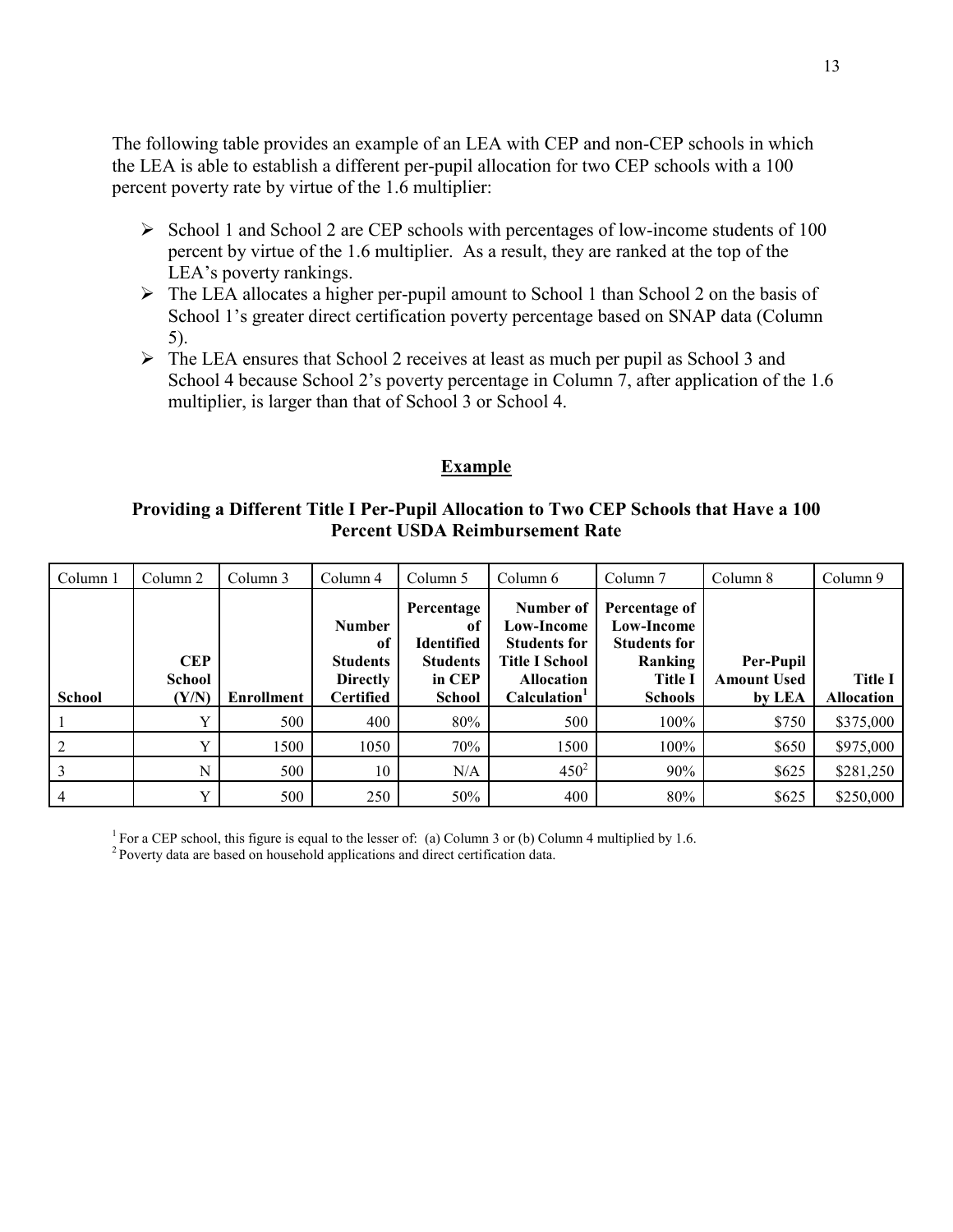The following table provides an example of an LEA with CEP and non-CEP schools in which the LEA is able to establish a different per-pupil allocation for two CEP schools with a 100 percent poverty rate by virtue of the 1.6 multiplier:

- $\triangleright$  School 1 and School 2 are CEP schools with percentages of low-income students of 100 percent by virtue of the 1.6 multiplier. As a result, they are ranked at the top of the LEA's poverty rankings.
- $\triangleright$  The LEA allocates a higher per-pupil amount to School 1 than School 2 on the basis of School 1's greater direct certification poverty percentage based on SNAP data (Column 5).
- The LEA ensures that School 2 receives at least as much per pupil as School 3 and School 4 because School 2's poverty percentage in Column 7, after application of the 1.6 multiplier, is larger than that of School 3 or School 4.

#### **Example**

#### **Providing a Different Title I Per-Pupil Allocation to Two CEP Schools that Have a 100 Percent USDA Reimbursement Rate**

| Column 1      | Column 2                             | Column 3          | Column 4                                                               | Column 5                                                                            | Column 6                                                                                                                 | Column <sub>7</sub>                                                                                      | Column 8                                         | Column 9                            |
|---------------|--------------------------------------|-------------------|------------------------------------------------------------------------|-------------------------------------------------------------------------------------|--------------------------------------------------------------------------------------------------------------------------|----------------------------------------------------------------------------------------------------------|--------------------------------------------------|-------------------------------------|
| <b>School</b> | <b>CEP</b><br><b>School</b><br>(Y/N) | <b>Enrollment</b> | Number<br>of<br><b>Students</b><br><b>Directly</b><br><b>Certified</b> | Percentage<br>of<br><b>Identified</b><br><b>Students</b><br>in CEP<br><b>School</b> | Number of<br>Low-Income<br><b>Students for</b><br><b>Title I School</b><br><b>Allocation</b><br>Calculation <sup>1</sup> | Percentage of<br><b>Low-Income</b><br><b>Students for</b><br>Ranking<br><b>Title I</b><br><b>Schools</b> | <b>Per-Pupil</b><br><b>Amount Used</b><br>by LEA | <b>Title I</b><br><b>Allocation</b> |
|               |                                      | 500               | 400                                                                    | 80%                                                                                 | 500                                                                                                                      | 100%                                                                                                     | \$750                                            | \$375,000                           |
|               |                                      | 1500              | 1050                                                                   | 70%                                                                                 | 1500                                                                                                                     | $100\%$                                                                                                  | \$650                                            | \$975,000                           |
|               | N                                    | 500               | 10                                                                     | N/A                                                                                 | $450^{2}$                                                                                                                | 90%                                                                                                      | \$625                                            | \$281,250                           |
|               | $\mathbf{v}$                         | 500               | 250                                                                    | 50%                                                                                 | 400                                                                                                                      | 80%                                                                                                      | \$625                                            | \$250,000                           |

<sup>1</sup> For a CEP school, this figure is equal to the lesser of: (a) Column 3 or (b) Column 4 multiplied by 1.6.

<sup>2</sup> Poverty data are based on household applications and direct certification data.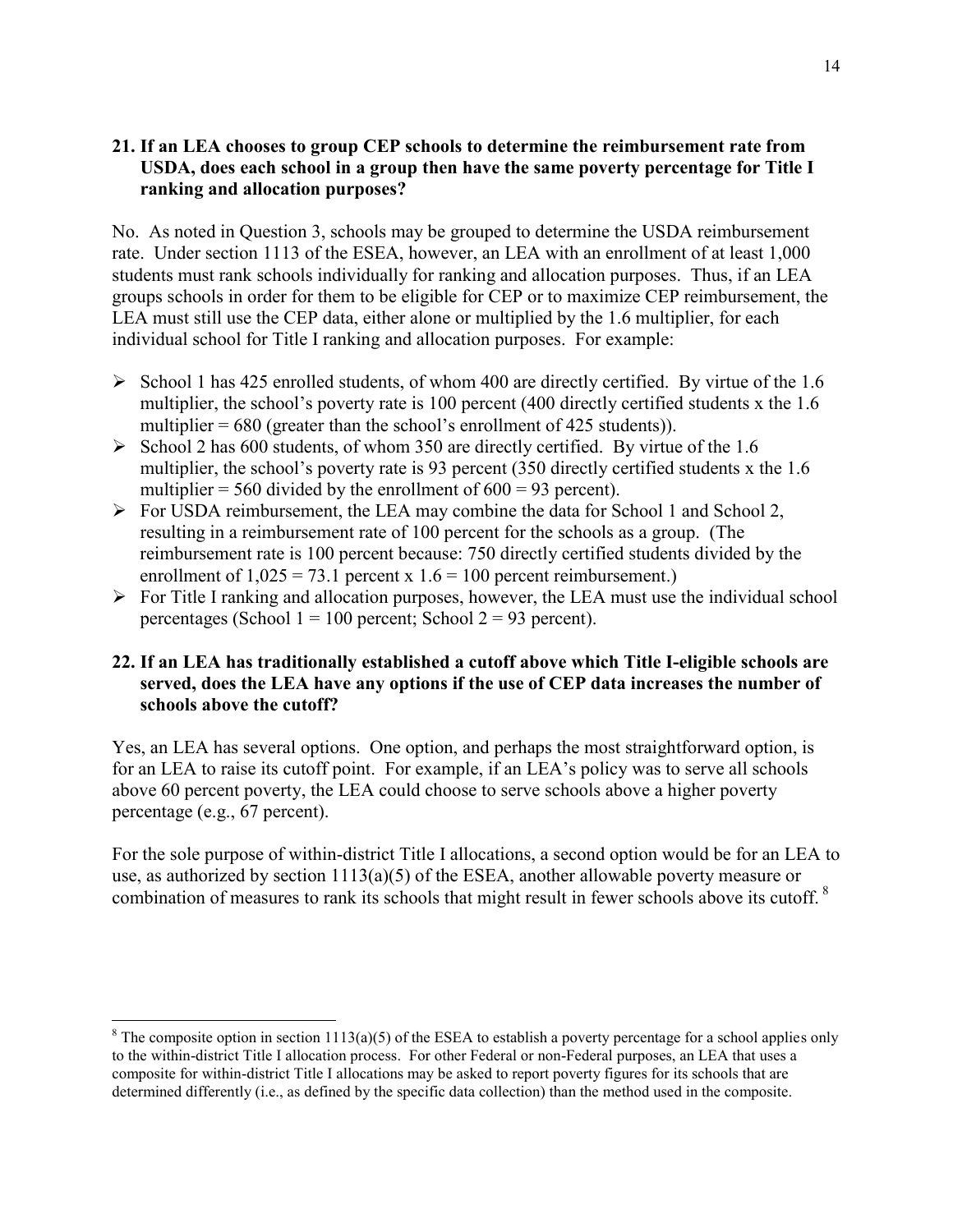#### <span id="page-17-0"></span>**21. If an LEA chooses to group CEP schools to determine the reimbursement rate from USDA, does each school in a group then have the same poverty percentage for Title I ranking and allocation purposes?**

No. As noted in Question 3, schools may be grouped to determine the USDA reimbursement rate. Under section 1113 of the ESEA, however, an LEA with an enrollment of at least 1,000 students must rank schools individually for ranking and allocation purposes. Thus, if an LEA groups schools in order for them to be eligible for CEP or to maximize CEP reimbursement, the LEA must still use the CEP data, either alone or multiplied by the 1.6 multiplier, for each individual school for Title I ranking and allocation purposes. For example:

- $\triangleright$  School 1 has 425 enrolled students, of whom 400 are directly certified. By virtue of the 1.6 multiplier, the school's poverty rate is 100 percent (400 directly certified students x the 1.6 multiplier  $= 680$  (greater than the school's enrollment of 425 students)).
- $\triangleright$  School 2 has 600 students, of whom 350 are directly certified. By virtue of the 1.6 multiplier, the school's poverty rate is 93 percent (350 directly certified students x the 1.6 multiplier = 560 divided by the enrollment of  $600 = 93$  percent).
- $\triangleright$  For USDA reimbursement, the LEA may combine the data for School 1 and School 2, resulting in a reimbursement rate of 100 percent for the schools as a group. (The reimbursement rate is 100 percent because: 750 directly certified students divided by the enrollment of  $1,025 = 73.1$  percent x  $1.6 = 100$  percent reimbursement.)
- $\triangleright$  For Title I ranking and allocation purposes, however, the LEA must use the individual school percentages (School  $1 = 100$  percent; School  $2 = 93$  percent).

### <span id="page-17-1"></span>**22. If an LEA has traditionally established a cutoff above which Title I-eligible schools are served, does the LEA have any options if the use of CEP data increases the number of schools above the cutoff?**

Yes, an LEA has several options. One option, and perhaps the most straightforward option, is for an LEA to raise its cutoff point. For example, if an LEA's policy was to serve all schools above 60 percent poverty, the LEA could choose to serve schools above a higher poverty percentage (e.g., 67 percent).

For the sole purpose of within-district Title I allocations, a second option would be for an LEA to use, as authorized by section  $1113(a)(5)$  of the ESEA, another allowable poverty measure or combination of measures to rank its schools that might result in fewer schools above its cutoff.<sup>8</sup>

 $\overline{a}$ <sup>8</sup> The composite option in section 1113(a)(5) of the ESEA to establish a poverty percentage for a school applies only to the within-district Title I allocation process. For other Federal or non-Federal purposes, an LEA that uses a composite for within-district Title I allocations may be asked to report poverty figures for its schools that are determined differently (i.e., as defined by the specific data collection) than the method used in the composite.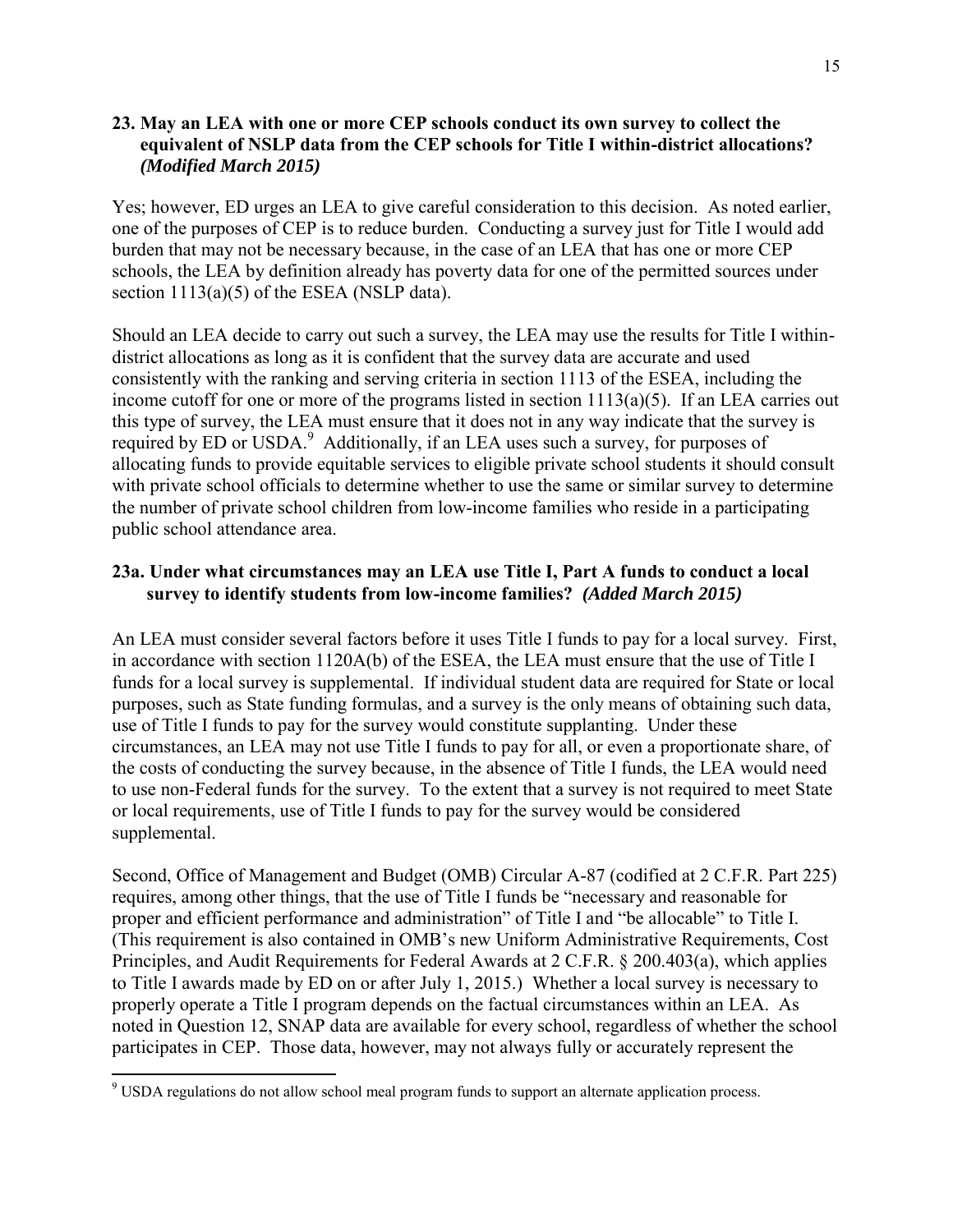#### <span id="page-18-0"></span>**23. May an LEA with one or more CEP schools conduct its own survey to collect the equivalent of NSLP data from the CEP schools for Title I within-district allocations?**  *(Modified March 2015)*

Yes; however, ED urges an LEA to give careful consideration to this decision. As noted earlier, one of the purposes of CEP is to reduce burden. Conducting a survey just for Title I would add burden that may not be necessary because, in the case of an LEA that has one or more CEP schools, the LEA by definition already has poverty data for one of the permitted sources under section 1113(a)(5) of the ESEA (NSLP data).

Should an LEA decide to carry out such a survey, the LEA may use the results for Title I withindistrict allocations as long as it is confident that the survey data are accurate and used consistently with the ranking and serving criteria in section 1113 of the ESEA, including the income cutoff for one or more of the programs listed in section  $1113(a)(5)$ . If an LEA carries out this type of survey, the LEA must ensure that it does not in any way indicate that the survey is required by ED or USDA.<sup>9</sup> Additionally, if an LEA uses such a survey, for purposes of allocating funds to provide equitable services to eligible private school students it should consult with private school officials to determine whether to use the same or similar survey to determine the number of private school children from low-income families who reside in a participating public school attendance area.

### <span id="page-18-1"></span>**23a. Under what circumstances may an LEA use Title I, Part A funds to conduct a local survey to identify students from low-income families?** *(Added March 2015)*

An LEA must consider several factors before it uses Title I funds to pay for a local survey. First, in accordance with section 1120A(b) of the ESEA, the LEA must ensure that the use of Title I funds for a local survey is supplemental. If individual student data are required for State or local purposes, such as State funding formulas, and a survey is the only means of obtaining such data, use of Title I funds to pay for the survey would constitute supplanting. Under these circumstances, an LEA may not use Title I funds to pay for all, or even a proportionate share, of the costs of conducting the survey because, in the absence of Title I funds, the LEA would need to use non-Federal funds for the survey. To the extent that a survey is not required to meet State or local requirements, use of Title I funds to pay for the survey would be considered supplemental.

Second, Office of Management and Budget (OMB) Circular A-87 (codified at 2 C.F.R. Part 225) requires, among other things, that the use of Title I funds be "necessary and reasonable for proper and efficient performance and administration" of Title I and "be allocable" to Title I. (This requirement is also contained in OMB's new Uniform Administrative Requirements, Cost Principles, and Audit Requirements for Federal Awards at 2 C.F.R. § 200.403(a), which applies to Title I awards made by ED on or after July 1, 2015.) Whether a local survey is necessary to properly operate a Title I program depends on the factual circumstances within an LEA. As noted in Question 12, SNAP data are available for every school, regardless of whether the school participates in CEP. Those data, however, may not always fully or accurately represent the

<sup>&</sup>lt;sup>9</sup> USDA regulations do not allow school meal program funds to support an alternate application process.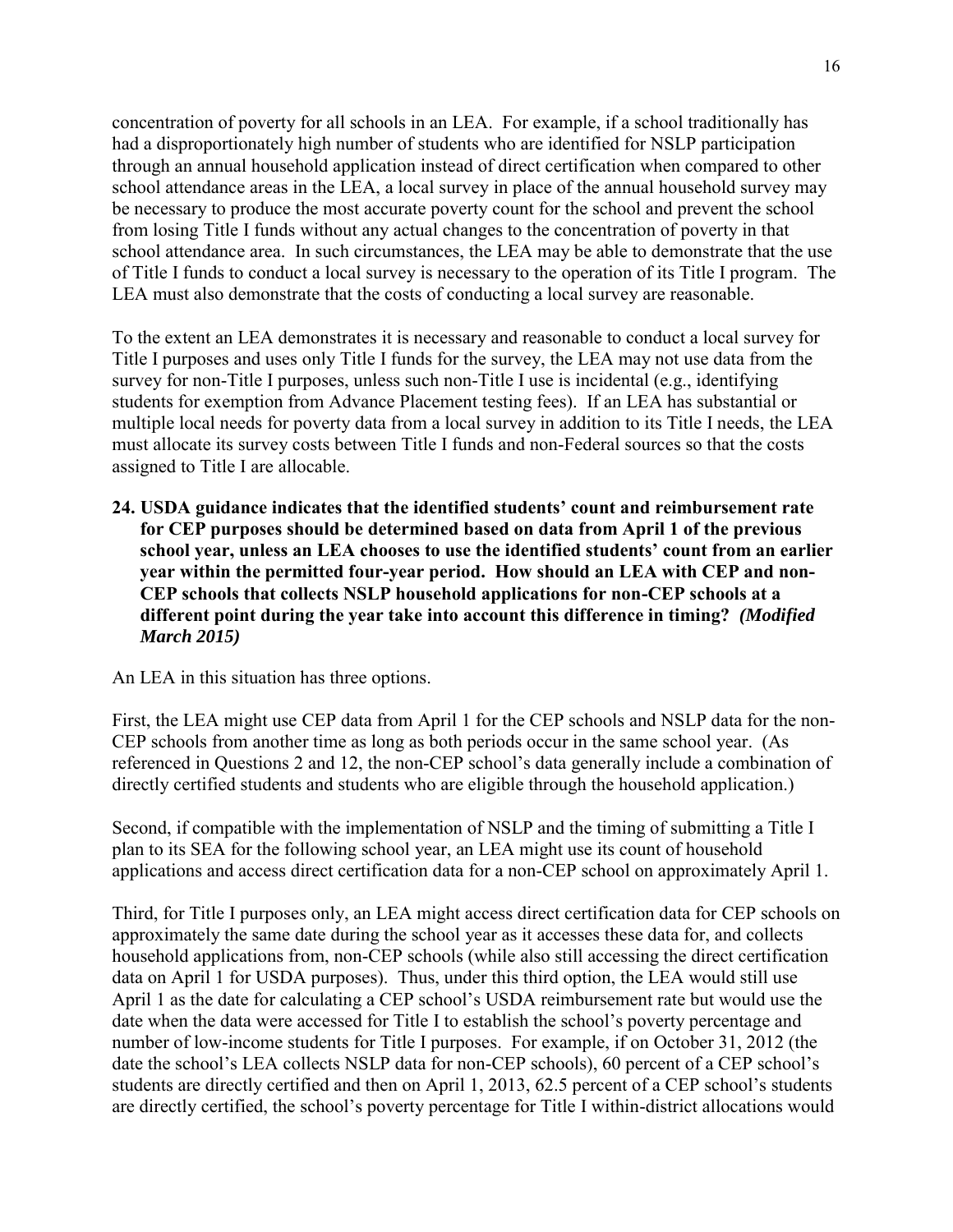concentration of poverty for all schools in an LEA. For example, if a school traditionally has had a disproportionately high number of students who are identified for NSLP participation through an annual household application instead of direct certification when compared to other school attendance areas in the LEA, a local survey in place of the annual household survey may be necessary to produce the most accurate poverty count for the school and prevent the school from losing Title I funds without any actual changes to the concentration of poverty in that school attendance area. In such circumstances, the LEA may be able to demonstrate that the use of Title I funds to conduct a local survey is necessary to the operation of its Title I program. The LEA must also demonstrate that the costs of conducting a local survey are reasonable.

To the extent an LEA demonstrates it is necessary and reasonable to conduct a local survey for Title I purposes and uses only Title I funds for the survey, the LEA may not use data from the survey for non-Title I purposes, unless such non-Title I use is incidental (e.g., identifying students for exemption from Advance Placement testing fees). If an LEA has substantial or multiple local needs for poverty data from a local survey in addition to its Title I needs, the LEA must allocate its survey costs between Title I funds and non-Federal sources so that the costs assigned to Title I are allocable.

<span id="page-19-0"></span>**24. USDA guidance indicates that the identified students' count and reimbursement rate for CEP purposes should be determined based on data from April 1 of the previous school year, unless an LEA chooses to use the identified students' count from an earlier year within the permitted four-year period. How should an LEA with CEP and non-CEP schools that collects NSLP household applications for non-CEP schools at a different point during the year take into account this difference in timing?** *(Modified March 2015)*

An LEA in this situation has three options.

First, the LEA might use CEP data from April 1 for the CEP schools and NSLP data for the non-CEP schools from another time as long as both periods occur in the same school year. (As referenced in Questions 2 and 12, the non-CEP school's data generally include a combination of directly certified students and students who are eligible through the household application.)

Second, if compatible with the implementation of NSLP and the timing of submitting a Title I plan to its SEA for the following school year, an LEA might use its count of household applications and access direct certification data for a non-CEP school on approximately April 1.

Third, for Title I purposes only, an LEA might access direct certification data for CEP schools on approximately the same date during the school year as it accesses these data for, and collects household applications from, non-CEP schools (while also still accessing the direct certification data on April 1 for USDA purposes). Thus, under this third option, the LEA would still use April 1 as the date for calculating a CEP school's USDA reimbursement rate but would use the date when the data were accessed for Title I to establish the school's poverty percentage and number of low-income students for Title I purposes. For example, if on October 31, 2012 (the date the school's LEA collects NSLP data for non-CEP schools), 60 percent of a CEP school's students are directly certified and then on April 1, 2013, 62.5 percent of a CEP school's students are directly certified, the school's poverty percentage for Title I within-district allocations would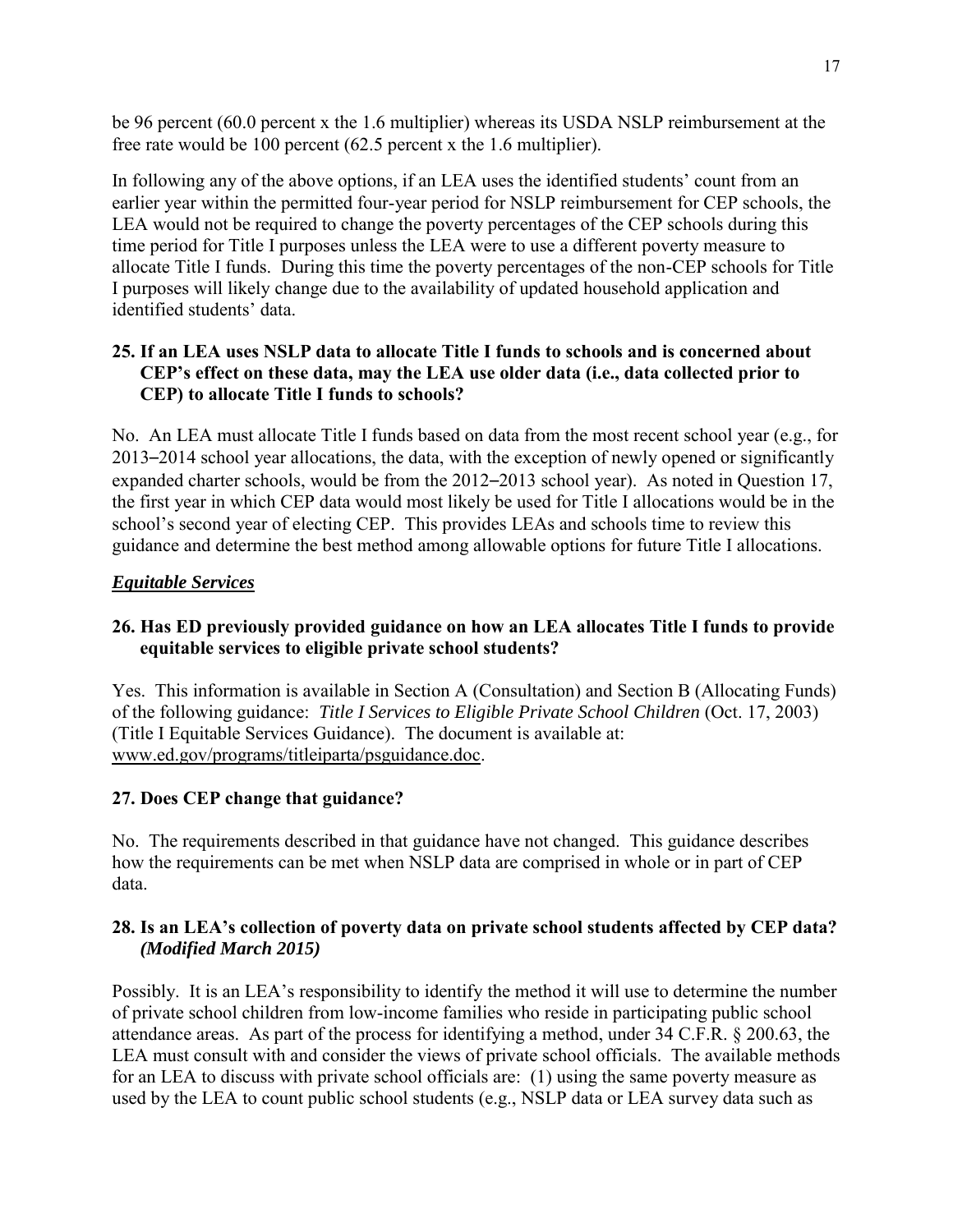be 96 percent (60.0 percent x the 1.6 multiplier) whereas its USDA NSLP reimbursement at the free rate would be 100 percent (62.5 percent x the 1.6 multiplier).

In following any of the above options, if an LEA uses the identified students' count from an earlier year within the permitted four-year period for NSLP reimbursement for CEP schools, the LEA would not be required to change the poverty percentages of the CEP schools during this time period for Title I purposes unless the LEA were to use a different poverty measure to allocate Title I funds. During this time the poverty percentages of the non-CEP schools for Title I purposes will likely change due to the availability of updated household application and identified students' data.

### <span id="page-20-0"></span>**25. If an LEA uses NSLP data to allocate Title I funds to schools and is concerned about CEP's effect on these data, may the LEA use older data (i.e., data collected prior to CEP) to allocate Title I funds to schools?**

No. An LEA must allocate Title I funds based on data from the most recent school year (e.g., for 2013–2014 school year allocations, the data, with the exception of newly opened or significantly expanded charter schools, would be from the 2012–2013 school year). As noted in Question 17, the first year in which CEP data would most likely be used for Title I allocations would be in the school's second year of electing CEP. This provides LEAs and schools time to review this guidance and determine the best method among allowable options for future Title I allocations.

### <span id="page-20-1"></span>*Equitable Services*

# <span id="page-20-2"></span>**26. Has ED previously provided guidance on how an LEA allocates Title I funds to provide equitable services to eligible private school students?**

Yes. This information is available in Section A (Consultation) and Section B (Allocating Funds) of the following guidance: *Title I Services to Eligible Private School Children* (Oct. 17, 2003) (Title I Equitable Services Guidance). The document is available at: www.ed.gov/programs/titleiparta/psguidance.doc.

### <span id="page-20-3"></span>**27. Does CEP change that guidance?**

No. The requirements described in that guidance have not changed. This guidance describes how the requirements can be met when NSLP data are comprised in whole or in part of CEP data.

### <span id="page-20-4"></span>**28. Is an LEA's collection of poverty data on private school students affected by CEP data?**  *(Modified March 2015)*

Possibly. It is an LEA's responsibility to identify the method it will use to determine the number of private school children from low-income families who reside in participating public school attendance areas. As part of the process for identifying a method, under 34 C.F.R. § 200.63, the LEA must consult with and consider the views of private school officials. The available methods for an LEA to discuss with private school officials are: (1) using the same poverty measure as used by the LEA to count public school students (e.g., NSLP data or LEA survey data such as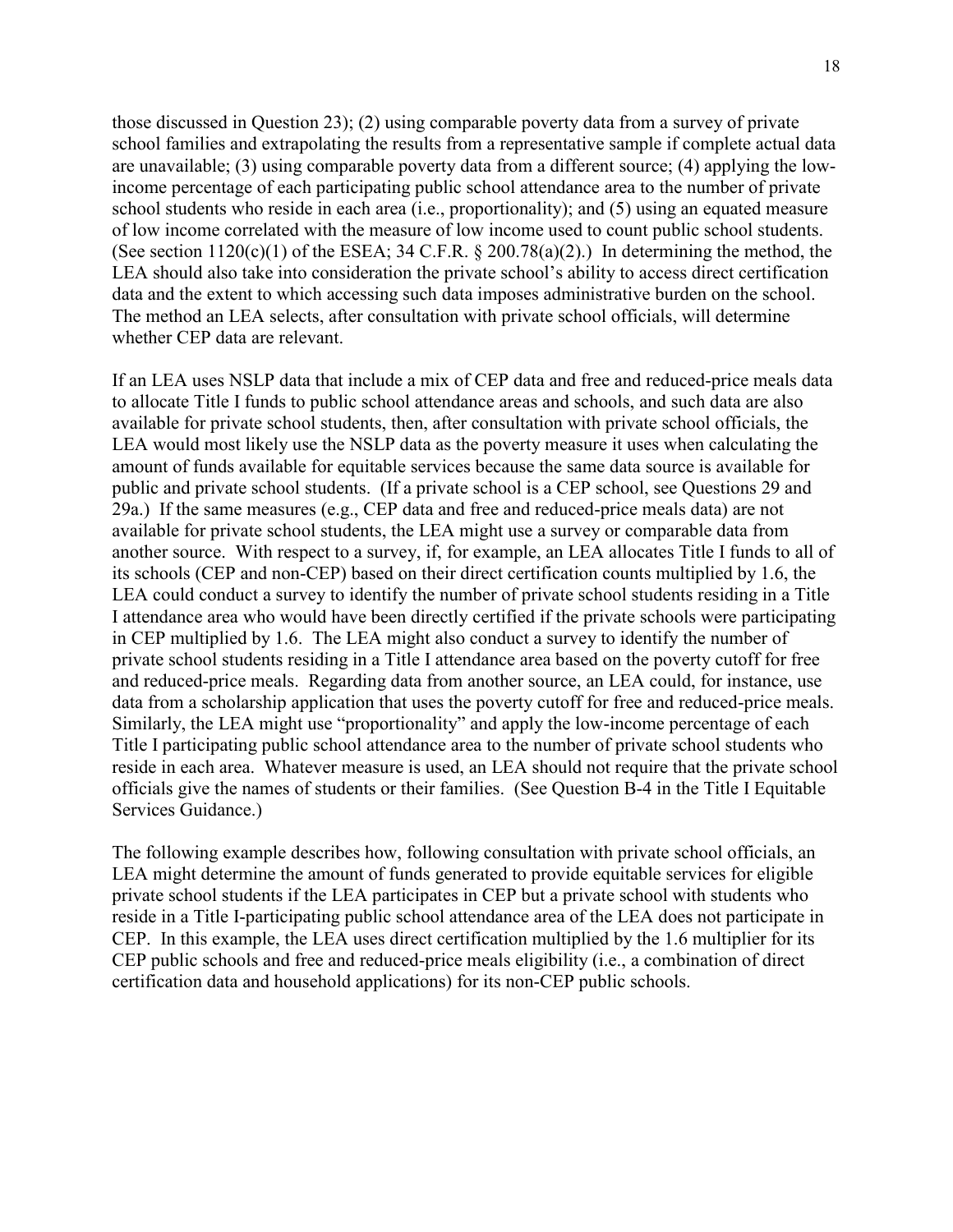those discussed in Question 23); (2) using comparable poverty data from a survey of private school families and extrapolating the results from a representative sample if complete actual data are unavailable; (3) using comparable poverty data from a different source; (4) applying the lowincome percentage of each participating public school attendance area to the number of private school students who reside in each area (i.e., proportionality); and (5) using an equated measure of low income correlated with the measure of low income used to count public school students. (See section  $1120(c)(1)$  of the ESEA; 34 C.F.R. § 200.78(a)(2).) In determining the method, the LEA should also take into consideration the private school's ability to access direct certification data and the extent to which accessing such data imposes administrative burden on the school. The method an LEA selects, after consultation with private school officials, will determine whether CEP data are relevant.

If an LEA uses NSLP data that include a mix of CEP data and free and reduced-price meals data to allocate Title I funds to public school attendance areas and schools, and such data are also available for private school students, then, after consultation with private school officials, the LEA would most likely use the NSLP data as the poverty measure it uses when calculating the amount of funds available for equitable services because the same data source is available for public and private school students. (If a private school is a CEP school, see Questions 29 and 29a.) If the same measures (e.g., CEP data and free and reduced-price meals data) are not available for private school students, the LEA might use a survey or comparable data from another source. With respect to a survey, if, for example, an LEA allocates Title I funds to all of its schools (CEP and non-CEP) based on their direct certification counts multiplied by 1.6, the LEA could conduct a survey to identify the number of private school students residing in a Title I attendance area who would have been directly certified if the private schools were participating in CEP multiplied by 1.6. The LEA might also conduct a survey to identify the number of private school students residing in a Title I attendance area based on the poverty cutoff for free and reduced-price meals. Regarding data from another source, an LEA could, for instance, use data from a scholarship application that uses the poverty cutoff for free and reduced-price meals. Similarly, the LEA might use "proportionality" and apply the low-income percentage of each Title I participating public school attendance area to the number of private school students who reside in each area. Whatever measure is used, an LEA should not require that the private school officials give the names of students or their families. (See Question B-4 in the Title I Equitable Services Guidance.)

The following example describes how, following consultation with private school officials, an LEA might determine the amount of funds generated to provide equitable services for eligible private school students if the LEA participates in CEP but a private school with students who reside in a Title I-participating public school attendance area of the LEA does not participate in CEP. In this example, the LEA uses direct certification multiplied by the 1.6 multiplier for its CEP public schools and free and reduced-price meals eligibility (i.e., a combination of direct certification data and household applications) for its non-CEP public schools.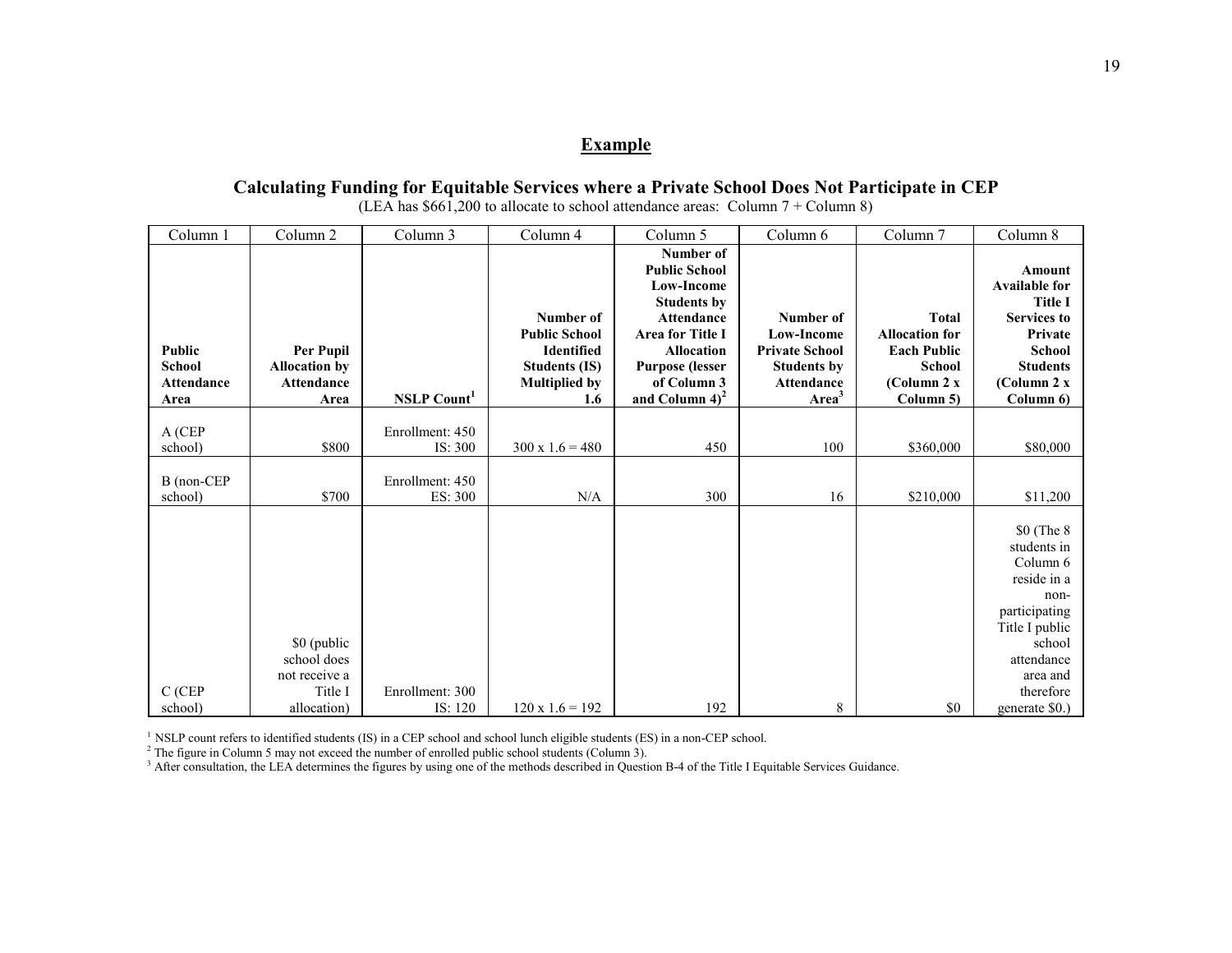#### **Example**

## **Calculating Funding for Equitable Services where a Private School Does Not Participate in CEP**

| Column 1                                             | Column 2                                                       | Column 3                       | Column 4                                                                                               | Column 5                                                                                                                                                                                                 | Column 6                                                                                                         | Column 7                                                                                                 | Column 8                                                                                                                                          |
|------------------------------------------------------|----------------------------------------------------------------|--------------------------------|--------------------------------------------------------------------------------------------------------|----------------------------------------------------------------------------------------------------------------------------------------------------------------------------------------------------------|------------------------------------------------------------------------------------------------------------------|----------------------------------------------------------------------------------------------------------|---------------------------------------------------------------------------------------------------------------------------------------------------|
| Public<br><b>School</b><br><b>Attendance</b><br>Area | Per Pupil<br><b>Allocation by</b><br><b>Attendance</b><br>Area | <b>NSLP</b> Count <sup>1</sup> | Number of<br><b>Public School</b><br>Identified<br><b>Students (IS)</b><br><b>Multiplied by</b><br>1.6 | Number of<br><b>Public School</b><br><b>Low-Income</b><br><b>Students by</b><br><b>Attendance</b><br><b>Area for Title I</b><br>Allocation<br><b>Purpose (lesser</b><br>of Column 3<br>and Column $4)^2$ | Number of<br><b>Low-Income</b><br><b>Private School</b><br><b>Students by</b><br>Attendance<br>Area <sup>3</sup> | <b>Total</b><br><b>Allocation for</b><br><b>Each Public</b><br><b>School</b><br>(Column 2 x<br>Column 5) | Amount<br><b>Available for</b><br><b>Title I</b><br><b>Services to</b><br>Private<br>School<br><b>Students</b><br>(Column 2 x<br>Column 6)        |
| A (CEP<br>school)                                    | \$800                                                          | Enrollment: 450<br>IS: 300     | $300 \times 1.6 = 480$                                                                                 | 450                                                                                                                                                                                                      | 100                                                                                                              | \$360,000                                                                                                | \$80,000                                                                                                                                          |
| B (non-CEP<br>school)                                | \$700                                                          | Enrollment: 450<br>ES: 300     | N/A                                                                                                    | 300                                                                                                                                                                                                      | 16                                                                                                               | \$210,000                                                                                                | \$11,200                                                                                                                                          |
| C (CEP                                               | \$0 (public<br>school does<br>not receive a<br>Title I         | Enrollment: 300                |                                                                                                        |                                                                                                                                                                                                          |                                                                                                                  |                                                                                                          | \$0 (The 8)<br>students in<br>Column 6<br>reside in a<br>non-<br>participating<br>Title I public<br>school<br>attendance<br>area and<br>therefore |
| school)                                              | allocation)                                                    | IS: 120                        | $120 \times 1.6 = 192$                                                                                 | 192                                                                                                                                                                                                      | 8                                                                                                                | \$0                                                                                                      | generate \$0.)                                                                                                                                    |

(LEA has  $$661,200$  to allocate to school attendance areas: Column 7 + Column 8)

<sup>1</sup> NSLP count refers to identified students (IS) in a CEP school and school lunch eligible students (ES) in a non-CEP school.<br><sup>2</sup> The figure in Column 5 may not exceed the number of enrolled public school students (Colum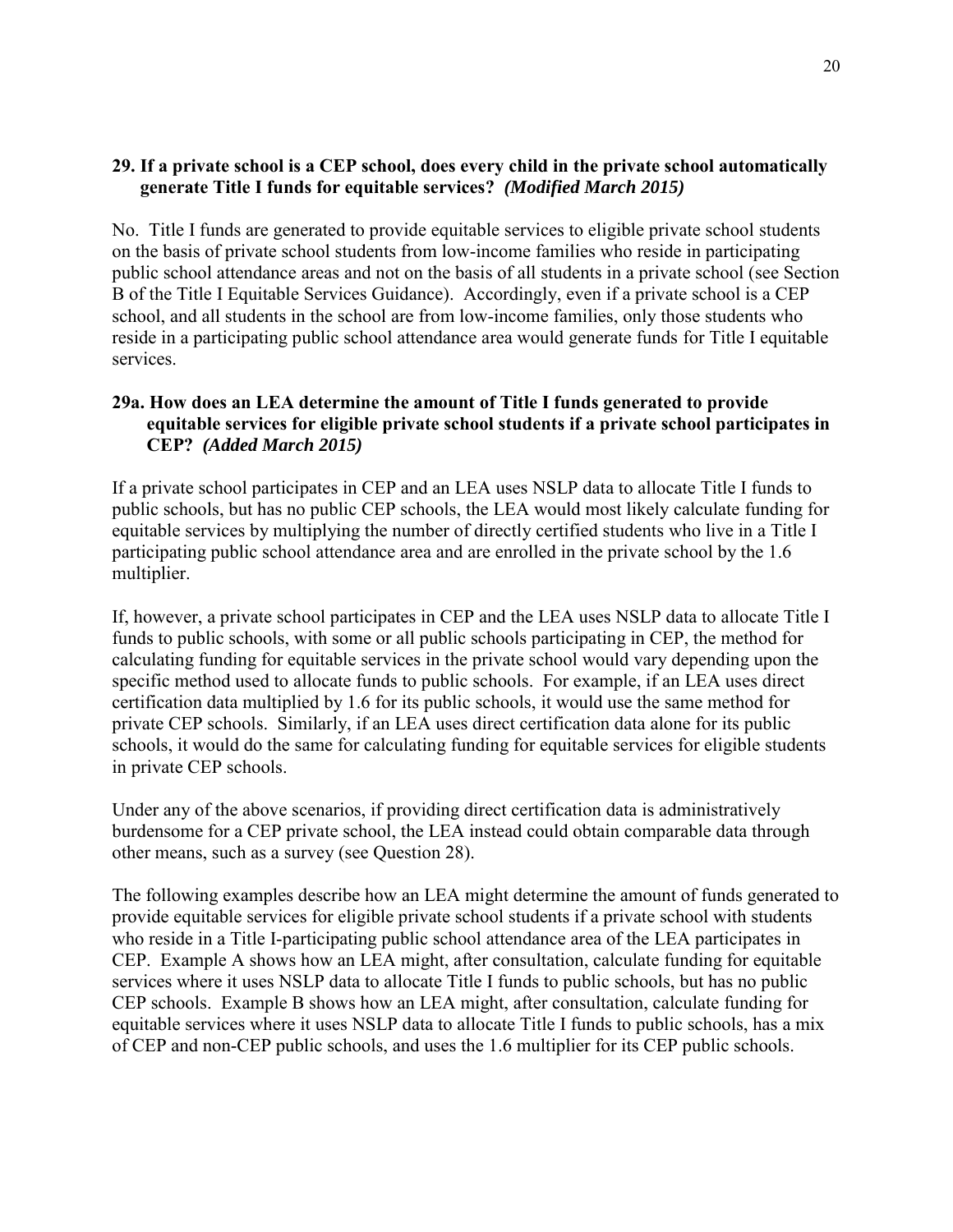### <span id="page-23-0"></span>**29. If a private school is a CEP school, does every child in the private school automatically generate Title I funds for equitable services?** *(Modified March 2015)*

No. Title I funds are generated to provide equitable services to eligible private school students on the basis of private school students from low-income families who reside in participating public school attendance areas and not on the basis of all students in a private school (see Section B of the Title I Equitable Services Guidance). Accordingly, even if a private school is a CEP school, and all students in the school are from low-income families, only those students who reside in a participating public school attendance area would generate funds for Title I equitable services.

### <span id="page-23-1"></span>**29a. How does an LEA determine the amount of Title I funds generated to provide equitable services for eligible private school students if a private school participates in CEP?** *(Added March 2015)*

If a private school participates in CEP and an LEA uses NSLP data to allocate Title I funds to public schools, but has no public CEP schools, the LEA would most likely calculate funding for equitable services by multiplying the number of directly certified students who live in a Title I participating public school attendance area and are enrolled in the private school by the 1.6 multiplier.

If, however, a private school participates in CEP and the LEA uses NSLP data to allocate Title I funds to public schools, with some or all public schools participating in CEP, the method for calculating funding for equitable services in the private school would vary depending upon the specific method used to allocate funds to public schools. For example, if an LEA uses direct certification data multiplied by 1.6 for its public schools, it would use the same method for private CEP schools. Similarly, if an LEA uses direct certification data alone for its public schools, it would do the same for calculating funding for equitable services for eligible students in private CEP schools.

Under any of the above scenarios, if providing direct certification data is administratively burdensome for a CEP private school, the LEA instead could obtain comparable data through other means, such as a survey (see Question 28).

The following examples describe how an LEA might determine the amount of funds generated to provide equitable services for eligible private school students if a private school with students who reside in a Title I-participating public school attendance area of the LEA participates in CEP. Example A shows how an LEA might, after consultation, calculate funding for equitable services where it uses NSLP data to allocate Title I funds to public schools, but has no public CEP schools. Example B shows how an LEA might, after consultation, calculate funding for equitable services where it uses NSLP data to allocate Title I funds to public schools, has a mix of CEP and non-CEP public schools, and uses the 1.6 multiplier for its CEP public schools.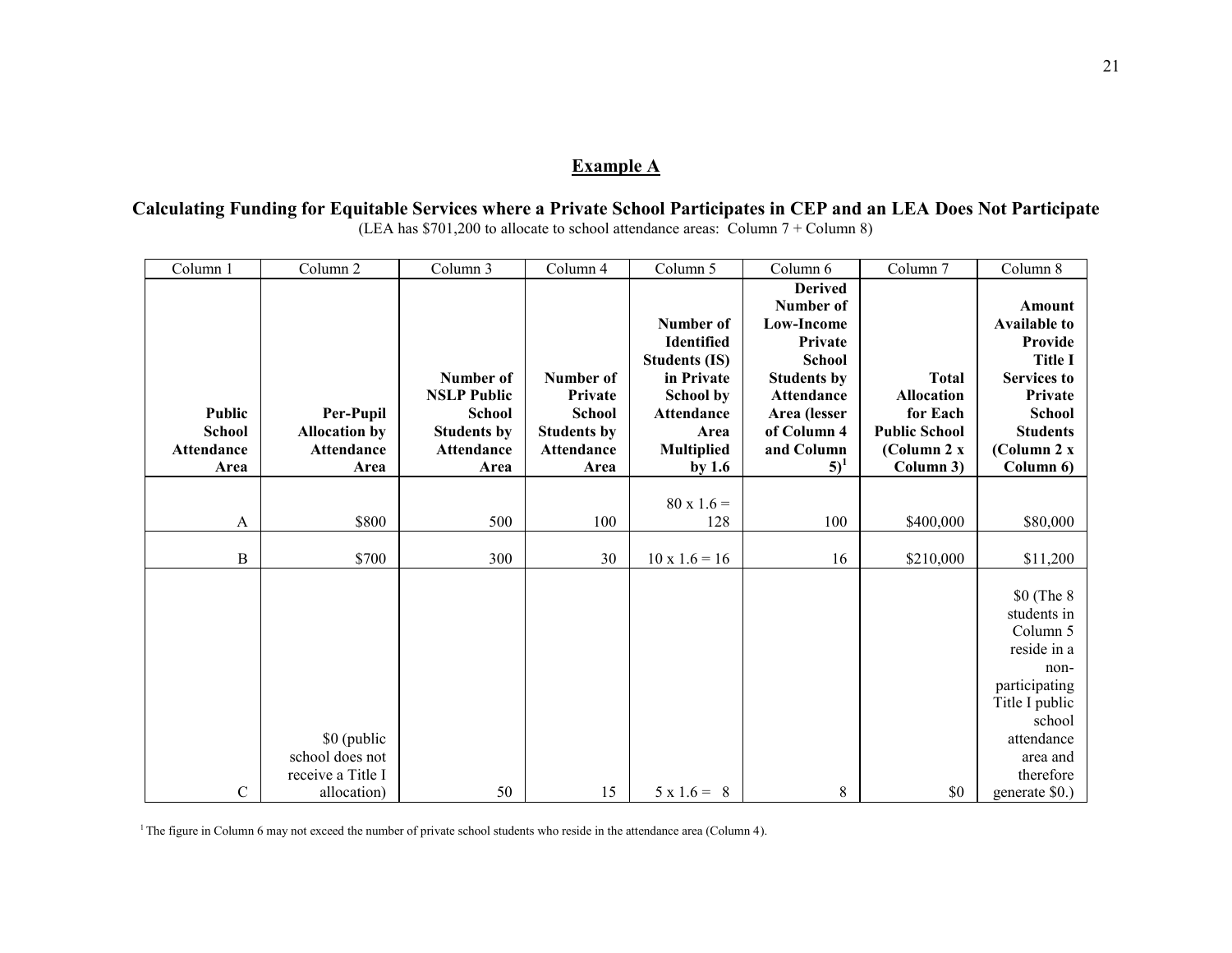# **Example A**

**Calculating Funding for Equitable Services where a Private School Participates in CEP and an LEA Does Not Participate** (LEA has \$701,200 to allocate to school attendance areas: Column 7 + Column 8)

| <b>Derived</b><br>Number of<br>Number of<br>Low-Income<br>Identified<br>Private<br><b>Students (IS)</b><br><b>School</b><br>Number of<br>Number of<br>in Private<br><b>Students by</b><br><b>Total</b><br><b>NSLP Public</b><br><b>Allocation</b><br>Private<br><b>School by</b><br>Attendance<br>Public<br>Per-Pupil<br>Area (lesser<br>for Each<br><b>School</b><br><b>School</b><br>Attendance<br><b>School</b><br><b>Students by</b><br>of Column 4<br><b>Public School</b><br><b>Allocation by</b><br><b>Students by</b><br>Area<br>and Column<br><b>Attendance</b><br><b>Attendance</b><br>Attendance<br>Attendance<br><b>Multiplied</b><br>(Column 2 x<br>$5)^1$<br>by $1.6$<br>Column 3)<br>Area<br>Area<br>Area<br>Area<br>$80 \times 1.6 =$<br>\$800<br>500<br>100<br>100<br>128<br>\$400,000<br>A<br>B<br>\$700<br>300<br>30<br>$10 \times 1.6 = 16$<br>16<br>\$210,000 | Column 1 | Column $2$ | Column 3 | Column 4 | Column 5 | Column 6 | Column 7 | Column 8                                                                                                                                                            |
|------------------------------------------------------------------------------------------------------------------------------------------------------------------------------------------------------------------------------------------------------------------------------------------------------------------------------------------------------------------------------------------------------------------------------------------------------------------------------------------------------------------------------------------------------------------------------------------------------------------------------------------------------------------------------------------------------------------------------------------------------------------------------------------------------------------------------------------------------------------------------------|----------|------------|----------|----------|----------|----------|----------|---------------------------------------------------------------------------------------------------------------------------------------------------------------------|
|                                                                                                                                                                                                                                                                                                                                                                                                                                                                                                                                                                                                                                                                                                                                                                                                                                                                                    |          |            |          |          |          |          |          | Amount<br><b>Available to</b><br>Provide<br><b>Title I</b><br><b>Services to</b><br>Private<br><b>School</b><br><b>Students</b><br>(Column 2 x<br>Column 6)         |
|                                                                                                                                                                                                                                                                                                                                                                                                                                                                                                                                                                                                                                                                                                                                                                                                                                                                                    |          |            |          |          |          |          |          |                                                                                                                                                                     |
|                                                                                                                                                                                                                                                                                                                                                                                                                                                                                                                                                                                                                                                                                                                                                                                                                                                                                    |          |            |          |          |          |          |          | \$80,000                                                                                                                                                            |
|                                                                                                                                                                                                                                                                                                                                                                                                                                                                                                                                                                                                                                                                                                                                                                                                                                                                                    |          |            |          |          |          |          |          | \$11,200                                                                                                                                                            |
| \$0 (public<br>school does not<br>receive a Title I<br>$\mathbf C$<br>50<br>15<br>$5 \times 1.6 = 8$<br>8<br>\$0<br>allocation)                                                                                                                                                                                                                                                                                                                                                                                                                                                                                                                                                                                                                                                                                                                                                    |          |            |          |          |          |          |          | \$0 (The 8)<br>students in<br>Column 5<br>reside in a<br>non-<br>participating<br>Title I public<br>school<br>attendance<br>area and<br>therefore<br>generate \$0.) |

<sup>1</sup>The figure in Column 6 may not exceed the number of private school students who reside in the attendance area (Column 4).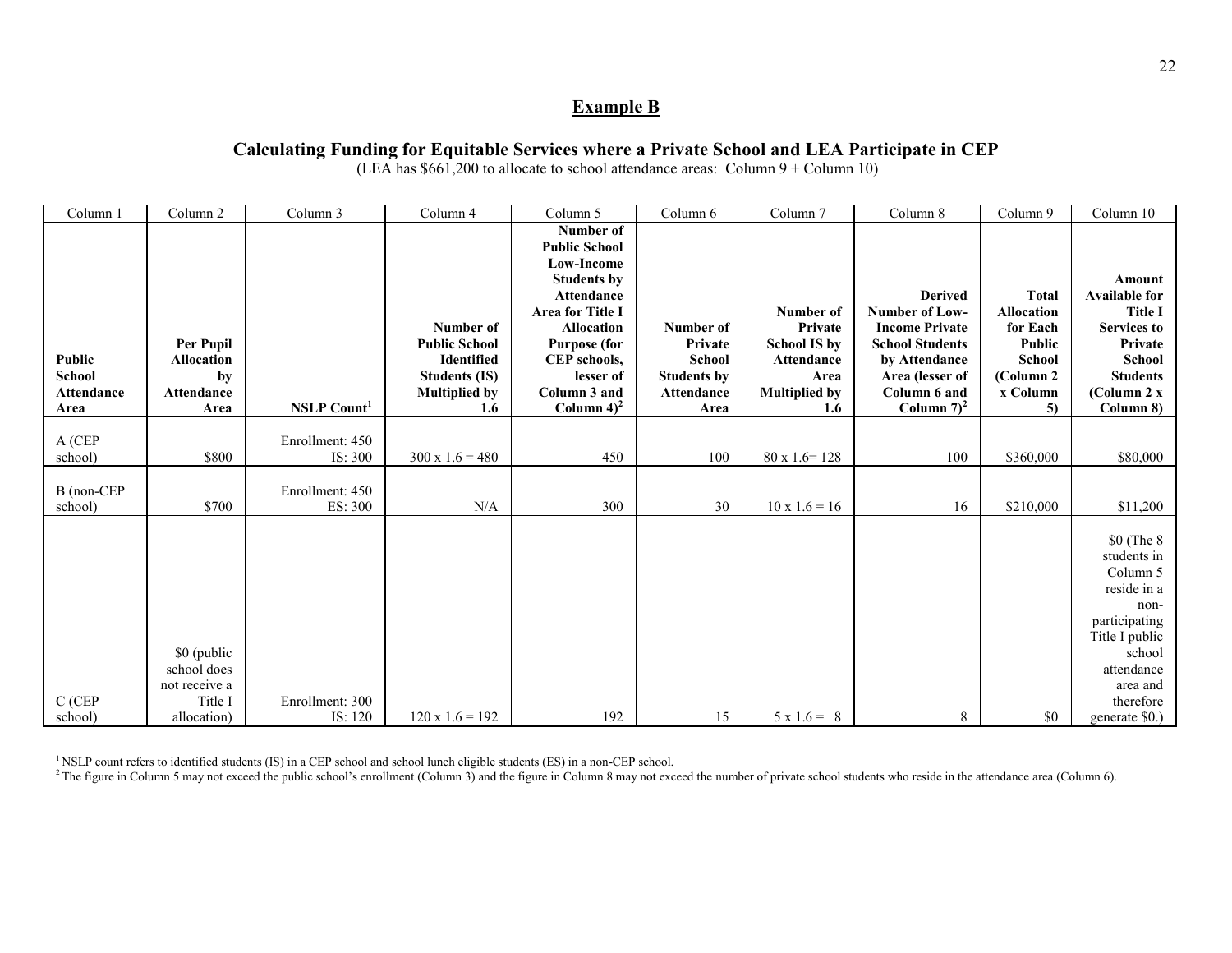#### **Example B**

## **Calculating Funding for Equitable Services where a Private School and LEA Participate in CEP**

(LEA has  $$661,200$  to allocate to school attendance areas: Column  $9 +$ Column 10)

| Column 1                                             | Column 2                                                              | Column 3                   | Column 4                                                                                                                   | Column 5                                                                                                                                                                                                          | Column 6                                                                          | Column 7                                                                                         | Column 8                                                                                                                                                 | Column 9                                                                                          | Column 10                                                                                                                                                           |
|------------------------------------------------------|-----------------------------------------------------------------------|----------------------------|----------------------------------------------------------------------------------------------------------------------------|-------------------------------------------------------------------------------------------------------------------------------------------------------------------------------------------------------------------|-----------------------------------------------------------------------------------|--------------------------------------------------------------------------------------------------|----------------------------------------------------------------------------------------------------------------------------------------------------------|---------------------------------------------------------------------------------------------------|---------------------------------------------------------------------------------------------------------------------------------------------------------------------|
| <b>Public</b><br><b>School</b><br>Attendance<br>Area | Per Pupil<br><b>Allocation</b><br>by<br><b>Attendance</b><br>Area     | <b>NSLP Count</b>          | Number of<br><b>Public School</b><br><b>Identified</b><br><b>Students (IS)</b><br><b>Multiplied by</b><br>$1.6\phantom{0}$ | Number of<br><b>Public School</b><br>Low-Income<br><b>Students by</b><br>Attendance<br>Area for Title I<br><b>Allocation</b><br><b>Purpose (for</b><br>CEP schools,<br>lesser of<br>Column 3 and<br>Column $4)^2$ | Number of<br>Private<br><b>School</b><br><b>Students by</b><br>Attendance<br>Area | Number of<br>Private<br><b>School IS by</b><br>Attendance<br>Area<br><b>Multiplied by</b><br>1.6 | <b>Derived</b><br>Number of Low-<br><b>Income Private</b><br><b>School Students</b><br>by Attendance<br>Area (lesser of<br>Column 6 and<br>Column $7)^2$ | <b>Total</b><br>Allocation<br>for Each<br>Public<br><b>School</b><br>(Column 2)<br>x Column<br>5) | <b>Amount</b><br><b>Available for</b><br><b>Title I</b><br><b>Services to</b><br>Private<br><b>School</b><br><b>Students</b><br>(Column 2 x<br>Column 8)            |
| A (CEP<br>school)                                    | \$800                                                                 | Enrollment: 450<br>IS: 300 | $300 \times 1.6 = 480$                                                                                                     | 450                                                                                                                                                                                                               | 100                                                                               | $80 \times 1.6 = 128$                                                                            | 100                                                                                                                                                      | \$360,000                                                                                         | \$80,000                                                                                                                                                            |
| B (non-CEP<br>school)                                | \$700                                                                 | Enrollment: 450<br>ES: 300 | N/A                                                                                                                        | 300                                                                                                                                                                                                               | 30                                                                                | $10 \times 1.6 = 16$                                                                             | 16                                                                                                                                                       | \$210,000                                                                                         | \$11,200                                                                                                                                                            |
| $C$ (CEP<br>school)                                  | \$0 (public<br>school does<br>not receive a<br>Title I<br>allocation) | Enrollment: 300<br>IS: 120 | $120 \times 1.6 = 192$                                                                                                     | 192                                                                                                                                                                                                               | 15                                                                                | $5 \times 1.6 = 8$                                                                               | 8                                                                                                                                                        | \$0                                                                                               | \$0 (The 8)<br>students in<br>Column 5<br>reside in a<br>non-<br>participating<br>Title I public<br>school<br>attendance<br>area and<br>therefore<br>generate \$0.) |

<sup>1</sup> NSLP count refers to identified students (IS) in a CEP school and school lunch eligible students (ES) in a non-CEP school.

<sup>2</sup> The figure in Column 5 may not exceed the public school's enrollment (Column 3) and the figure in Column 8 may not exceed the number of private school students who reside in the attendance area (Column 6).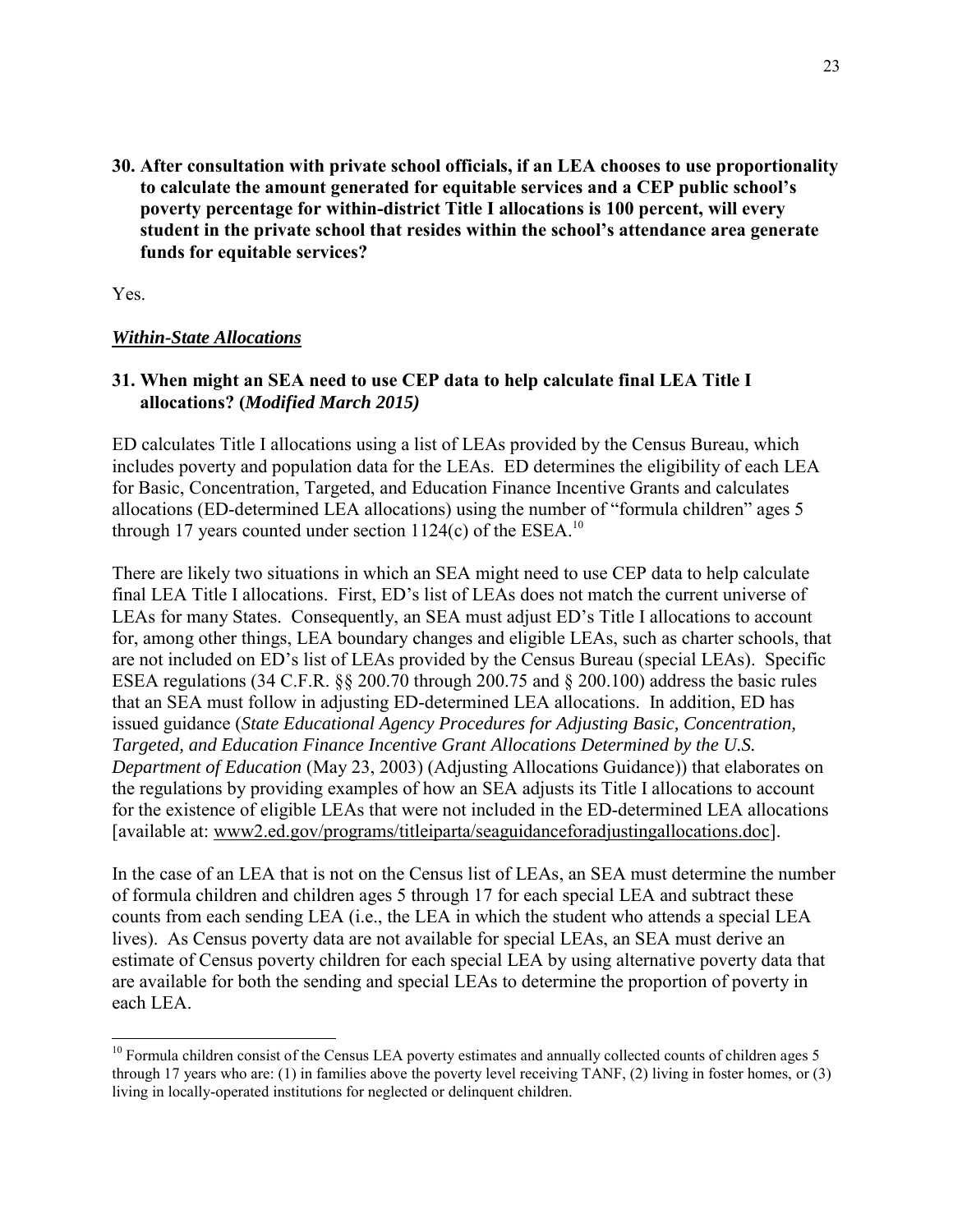<span id="page-26-0"></span>**30. After consultation with private school officials, if an LEA chooses to use proportionality to calculate the amount generated for equitable services and a CEP public school's poverty percentage for within-district Title I allocations is 100 percent, will every student in the private school that resides within the school's attendance area generate funds for equitable services?**

Yes.

 $\overline{a}$ 

#### <span id="page-26-1"></span>*Within-State Allocations*

#### <span id="page-26-2"></span>**31. When might an SEA need to use CEP data to help calculate final LEA Title I allocations? (***Modified March 2015)*

ED calculates Title I allocations using a list of LEAs provided by the Census Bureau, which includes poverty and population data for the LEAs. ED determines the eligibility of each LEA for Basic, Concentration, Targeted, and Education Finance Incentive Grants and calculates allocations (ED-determined LEA allocations) using the number of "formula children" ages 5 through 17 years counted under section  $1124(c)$  of the ESEA.<sup>10</sup>

There are likely two situations in which an SEA might need to use CEP data to help calculate final LEA Title I allocations. First, ED's list of LEAs does not match the current universe of LEAs for many States. Consequently, an SEA must adjust ED's Title I allocations to account for, among other things, LEA boundary changes and eligible LEAs, such as charter schools, that are not included on ED's list of LEAs provided by the Census Bureau (special LEAs). Specific ESEA regulations (34 C.F.R. §§ 200.70 through 200.75 and § 200.100) address the basic rules that an SEA must follow in adjusting ED-determined LEA allocations. In addition, ED has issued guidance (*State Educational Agency Procedures for Adjusting Basic, Concentration, Targeted, and Education Finance Incentive Grant Allocations Determined by the U.S. Department of Education* (May 23, 2003) (Adjusting Allocations Guidance)) that elaborates on the regulations by providing examples of how an SEA adjusts its Title I allocations to account for the existence of eligible LEAs that were not included in the ED-determined LEA allocations [available at: www2.ed.gov/programs/titleiparta/seaguidanceforadjustingallocations.doc].

In the case of an LEA that is not on the Census list of LEAs, an SEA must determine the number of formula children and children ages 5 through 17 for each special LEA and subtract these counts from each sending LEA (i.e., the LEA in which the student who attends a special LEA lives). As Census poverty data are not available for special LEAs, an SEA must derive an estimate of Census poverty children for each special LEA by using alternative poverty data that are available for both the sending and special LEAs to determine the proportion of poverty in each LEA.

 $10$  Formula children consist of the Census LEA poverty estimates and annually collected counts of children ages 5 through 17 years who are: (1) in families above the poverty level receiving TANF, (2) living in foster homes, or (3) living in locally-operated institutions for neglected or delinquent children.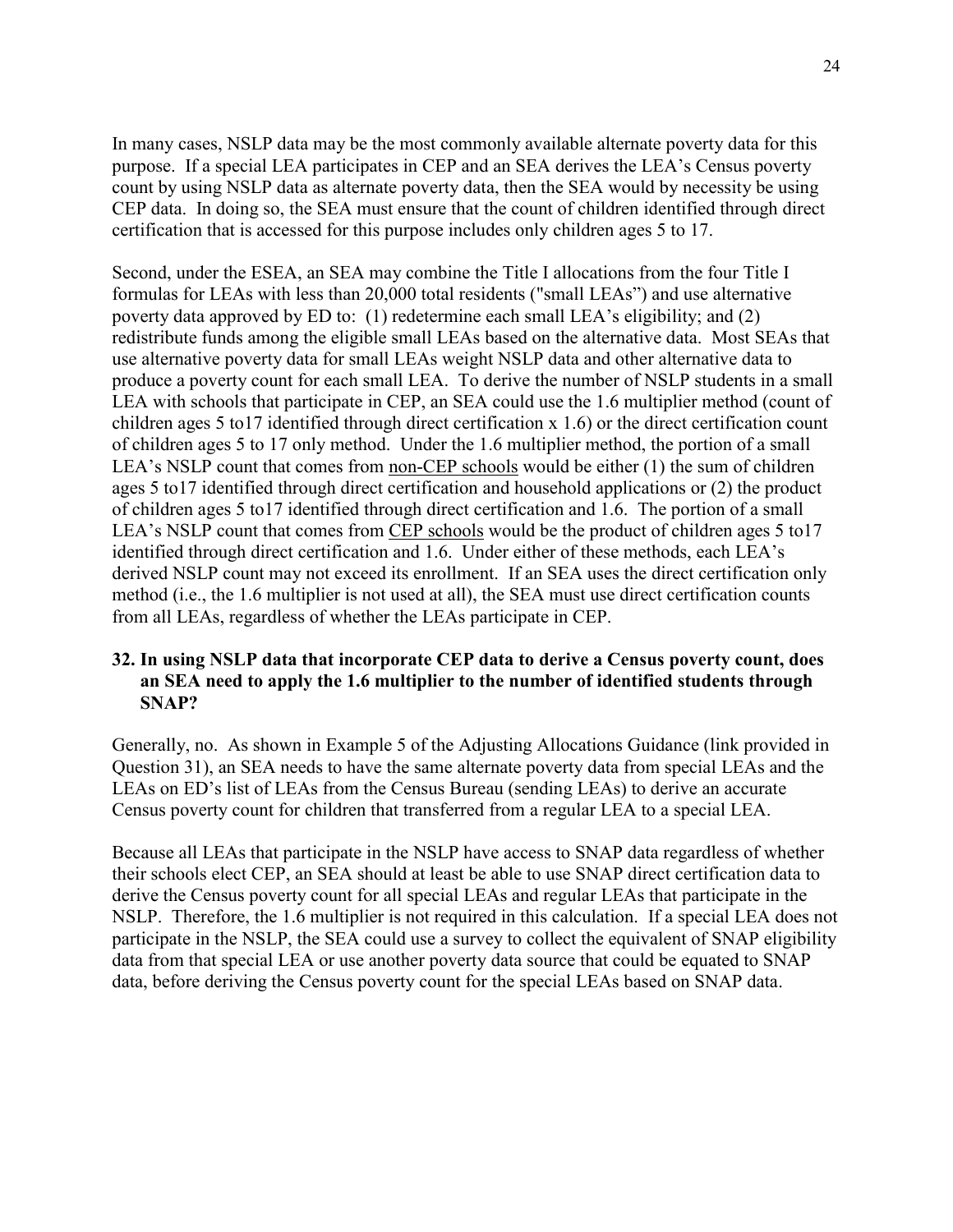In many cases, NSLP data may be the most commonly available alternate poverty data for this purpose. If a special LEA participates in CEP and an SEA derives the LEA's Census poverty count by using NSLP data as alternate poverty data, then the SEA would by necessity be using CEP data. In doing so, the SEA must ensure that the count of children identified through direct certification that is accessed for this purpose includes only children ages 5 to 17.

Second, under the ESEA, an SEA may combine the Title I allocations from the four Title I formulas for LEAs with less than 20,000 total residents ("small LEAs") and use alternative poverty data approved by ED to: (1) redetermine each small LEA's eligibility; and (2) redistribute funds among the eligible small LEAs based on the alternative data. Most SEAs that use alternative poverty data for small LEAs weight NSLP data and other alternative data to produce a poverty count for each small LEA. To derive the number of NSLP students in a small LEA with schools that participate in CEP, an SEA could use the 1.6 multiplier method (count of children ages 5 to17 identified through direct certification x 1.6) or the direct certification count of children ages 5 to 17 only method. Under the 1.6 multiplier method, the portion of a small LEA's NSLP count that comes from non-CEP schools would be either (1) the sum of children ages 5 to17 identified through direct certification and household applications or (2) the product of children ages 5 to17 identified through direct certification and 1.6. The portion of a small LEA's NSLP count that comes from CEP schools would be the product of children ages 5 to17 identified through direct certification and 1.6. Under either of these methods, each LEA's derived NSLP count may not exceed its enrollment. If an SEA uses the direct certification only method (i.e., the 1.6 multiplier is not used at all), the SEA must use direct certification counts from all LEAs, regardless of whether the LEAs participate in CEP.

### <span id="page-27-0"></span>**32. In using NSLP data that incorporate CEP data to derive a Census poverty count, does an SEA need to apply the 1.6 multiplier to the number of identified students through SNAP?**

Generally, no. As shown in Example 5 of the Adjusting Allocations Guidance (link provided in Question 31), an SEA needs to have the same alternate poverty data from special LEAs and the LEAs on ED's list of LEAs from the Census Bureau (sending LEAs) to derive an accurate Census poverty count for children that transferred from a regular LEA to a special LEA.

Because all LEAs that participate in the NSLP have access to SNAP data regardless of whether their schools elect CEP, an SEA should at least be able to use SNAP direct certification data to derive the Census poverty count for all special LEAs and regular LEAs that participate in the NSLP. Therefore, the 1.6 multiplier is not required in this calculation. If a special LEA does not participate in the NSLP, the SEA could use a survey to collect the equivalent of SNAP eligibility data from that special LEA or use another poverty data source that could be equated to SNAP data, before deriving the Census poverty count for the special LEAs based on SNAP data.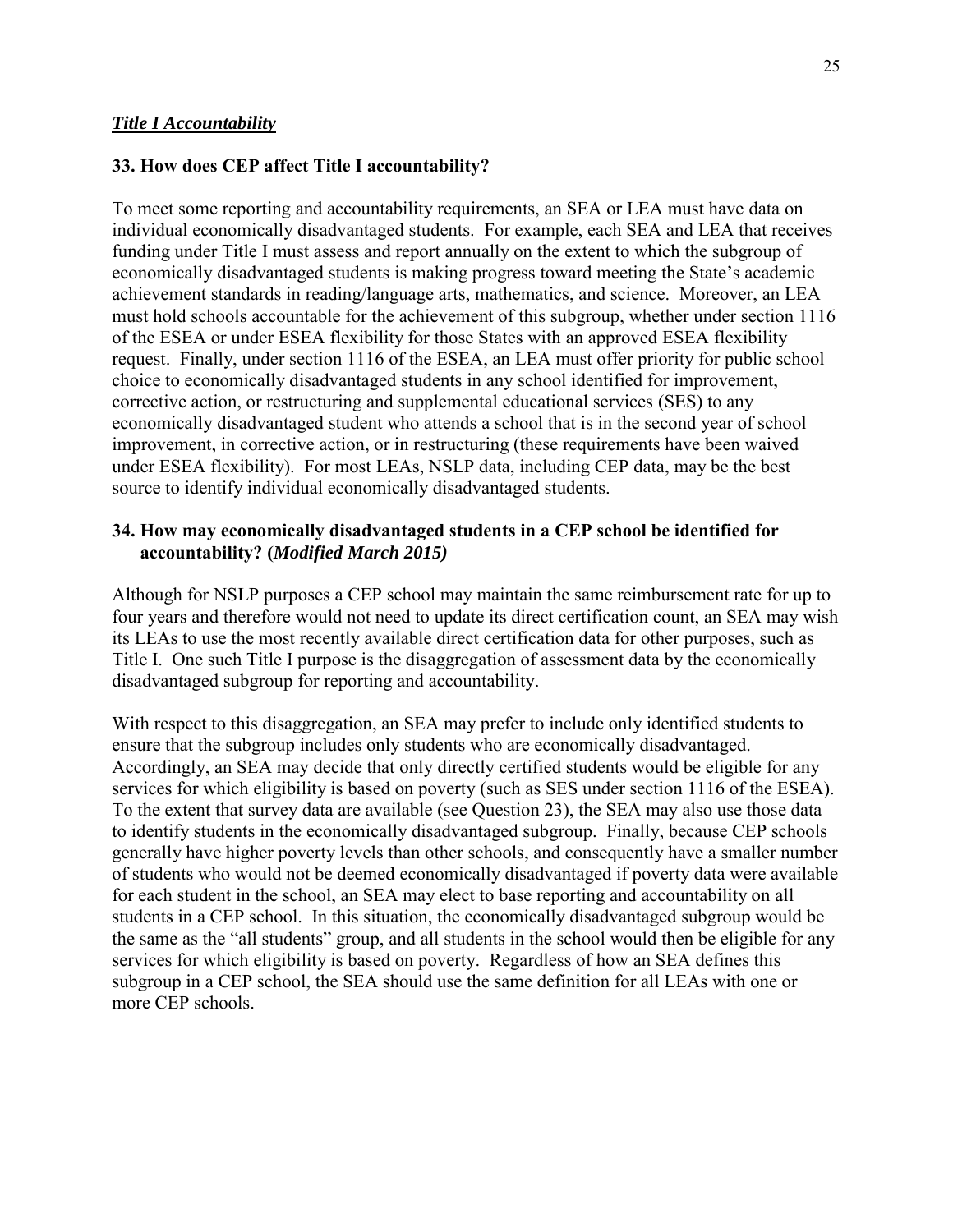### <span id="page-28-1"></span><span id="page-28-0"></span>**33. How does CEP affect Title I accountability?**

To meet some reporting and accountability requirements, an SEA or LEA must have data on individual economically disadvantaged students. For example, each SEA and LEA that receives funding under Title I must assess and report annually on the extent to which the subgroup of economically disadvantaged students is making progress toward meeting the State's academic achievement standards in reading/language arts, mathematics, and science. Moreover, an LEA must hold schools accountable for the achievement of this subgroup, whether under section 1116 of the ESEA or under ESEA flexibility for those States with an approved ESEA flexibility request. Finally, under section 1116 of the ESEA, an LEA must offer priority for public school choice to economically disadvantaged students in any school identified for improvement, corrective action, or restructuring and supplemental educational services (SES) to any economically disadvantaged student who attends a school that is in the second year of school improvement, in corrective action, or in restructuring (these requirements have been waived under ESEA flexibility). For most LEAs, NSLP data, including CEP data, may be the best source to identify individual economically disadvantaged students.

### <span id="page-28-2"></span>**34. How may economically disadvantaged students in a CEP school be identified for accountability? (***Modified March 2015)*

Although for NSLP purposes a CEP school may maintain the same reimbursement rate for up to four years and therefore would not need to update its direct certification count, an SEA may wish its LEAs to use the most recently available direct certification data for other purposes, such as Title I. One such Title I purpose is the disaggregation of assessment data by the economically disadvantaged subgroup for reporting and accountability.

With respect to this disaggregation, an SEA may prefer to include only identified students to ensure that the subgroup includes only students who are economically disadvantaged. Accordingly, an SEA may decide that only directly certified students would be eligible for any services for which eligibility is based on poverty (such as SES under section 1116 of the ESEA). To the extent that survey data are available (see Question 23), the SEA may also use those data to identify students in the economically disadvantaged subgroup. Finally, because CEP schools generally have higher poverty levels than other schools, and consequently have a smaller number of students who would not be deemed economically disadvantaged if poverty data were available for each student in the school, an SEA may elect to base reporting and accountability on all students in a CEP school. In this situation, the economically disadvantaged subgroup would be the same as the "all students" group, and all students in the school would then be eligible for any services for which eligibility is based on poverty. Regardless of how an SEA defines this subgroup in a CEP school, the SEA should use the same definition for all LEAs with one or more CEP schools.